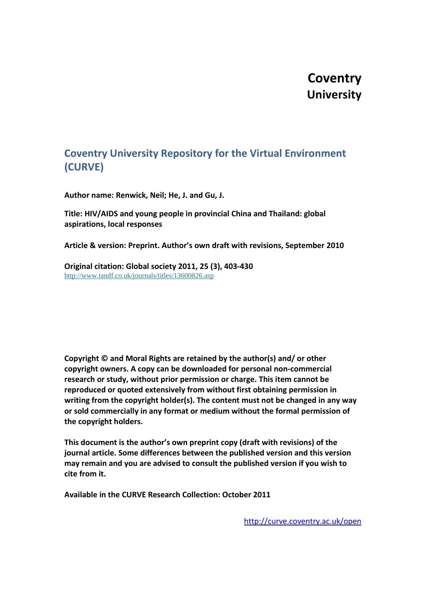# **Coventry University**

# **Coventry University Repository for the Virtual Environment (CURVE)**

**Author name: Renwick, Neil; He, J. and Gu, J.** 

**Title: HIV/AIDS and young people in provincial China and Thailand: global aspirations, local responses** 

**Article & version: Preprint. Author's own draft with revisions, September 2010**

**Original citation: Global society 2011, 25 (3), 403-430** <http://www.tandf.co.uk/journals/titles/13600826.asp>

**Copyright © and Moral Rights are retained by the author(s) and/ or other copyright owners. A copy can be downloaded for personal non-commercial research or study, without prior permission or charge. This item cannot be reproduced or quoted extensively from without first obtaining permission in writing from the copyright holder(s). The content must not be changed in any way or sold commercially in any format or medium without the formal permission of the copyright holders.**

**This document is the author's own preprint copy (draft with revisions) of the journal article. Some differences between the published version and this version may remain and you are advised to consult the published version if you wish to cite from it.**

**Available in the CURVE Research Collection: October 2011**

<http://curve.coventry.ac.uk/open>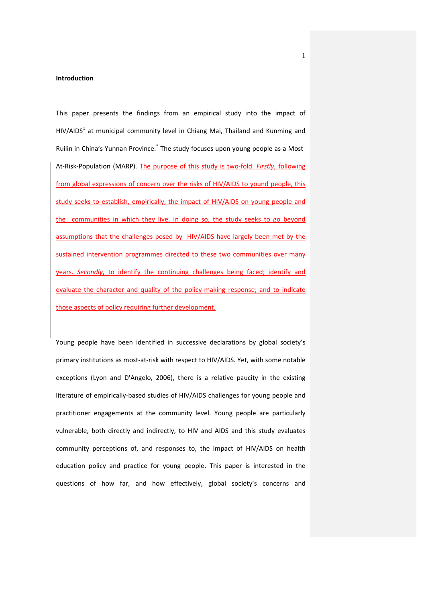#### **Introduction**

This paper presents the findings from an empirical study into the impact of  $HIV/AIDS<sup>1</sup>$  at municipal community level in Chiang Mai, Thailand and Kunming and Ruilin in China's Yunnan Province.\* The study focuses upon young people as a Most-At-Risk-Population (MARP). The purpose of this study is two-fold. *Firstly*, following from global expressions of concern over the risks of HIV/AIDS to yound people, this study seeks to establish, empirically, the impact of HIV/AIDS on young people and the communities in which they live. In doing so, the study seeks to go beyond assumptions that the challenges posed by HIV/AIDS have largely been met by the sustained intervention programmes directed to these two communities over many years. *Secondly*, to identify the continuing challenges being faced; identify and evaluate the character and quality of the policy-making response; and to indicate those aspects of policy requiring further development.

Young people have been identified in successive declarations by global society's primary institutions as most-at-risk with respect to HIV/AIDS. Yet, with some notable exceptions (Lyon and D'Angelo, 2006), there is a relative paucity in the existing literature of empirically-based studies of HIV/AIDS challenges for young people and practitioner engagements at the community level. Young people are particularly vulnerable, both directly and indirectly, to HIV and AIDS and this study evaluates community perceptions of, and responses to, the impact of HIV/AIDS on health education policy and practice for young people. This paper is interested in the questions of how far, and how effectively, global society's concerns and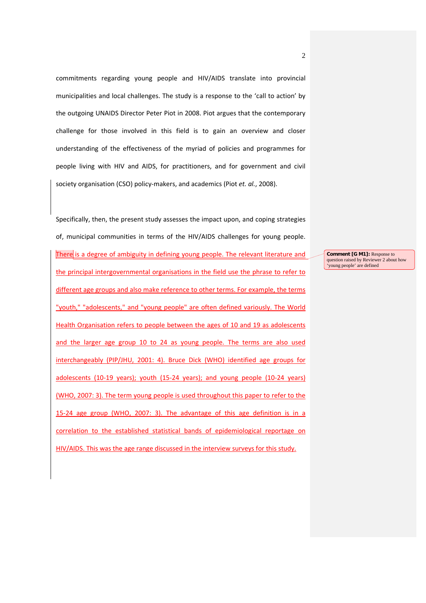commitments regarding young people and HIV/AIDS translate into provincial municipalities and local challenges. The study is a response to the 'call to action' by the outgoing UNAIDS Director Peter Piot in 2008. Piot argues that the contemporary challenge for those involved in this field is to gain an overview and closer understanding of the effectiveness of the myriad of policies and programmes for people living with HIV and AIDS, for practitioners, and for government and civil society organisation (CSO) policy-makers, and academics (Piot *et. al.*, 2008).

Specifically, then, the present study assesses the impact upon, and coping strategies of, municipal communities in terms of the HIV/AIDS challenges for young people. There is a degree of ambiguity in defining young people. The relevant literature and the principal intergovernmental organisations in the field use the phrase to refer to different age groups and also make reference to other terms. For example, the terms "youth," "adolescents," and "young people" are often defined variously. The World Health Organisation refers to people between the ages of 10 and 19 as adolescents and the larger age group 10 to 24 as young people. The terms are also used interchangeably (PIP/JHU, 2001: 4). Bruce Dick (WHO) identified age groups for adolescents (10-19 years); youth (15-24 years); and young people (10-24 years) (WHO, 2007: 3). The term young people is used throughout this paper to refer to the 15-24 age group (WHO, 2007: 3). The advantage of this age definition is in a correlation to the established statistical bands of epidemiological reportage on HIV/AIDS. This was the age range discussed in the interview surveys for this study.

**Comment [G M1]:** Response to question raised by Reviewer 2 about how 'young people' are defined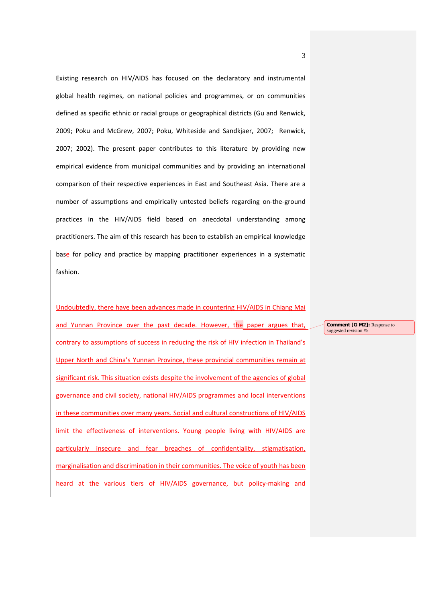Existing research on HIV/AIDS has focused on the declaratory and instrumental global health regimes, on national policies and programmes, or on communities defined as specific ethnic or racial groups or geographical districts (Gu and Renwick, 2009; Poku and McGrew, 2007; Poku, Whiteside and Sandkjaer, 2007; Renwick, 2007; 2002). The present paper contributes to this literature by providing new empirical evidence from municipal communities and by providing an international comparison of their respective experiences in East and Southeast Asia. There are a number of assumptions and empirically untested beliefs regarding on-the-ground practices in the HIV/AIDS field based on anecdotal understanding among practitioners. The aim of this research has been to establish an empirical knowledge base for policy and practice by mapping practitioner experiences in a systematic fashion.

Undoubtedly, there have been advances made in countering HIV/AIDS in Chiang Mai and Yunnan Province over the past decade. However, the paper argues that, contrary to assumptions of success in reducing the risk of HIV infection in Thailand's Upper North and China's Yunnan Province, these provincial communities remain at significant risk. This situation exists despite the involvement of the agencies of global governance and civil society, national HIV/AIDS programmes and local interventions in these communities over many years. Social and cultural constructions of HIV/AIDS limit the effectiveness of interventions. Young people living with HIV/AIDS are particularly insecure and fear breaches of confidentiality, stigmatisation, marginalisation and discrimination in their communities. The voice of youth has been heard at the various tiers of HIV/AIDS governance, but policy-making and

**Comment [G M2]:** Response to suggested revision #5

3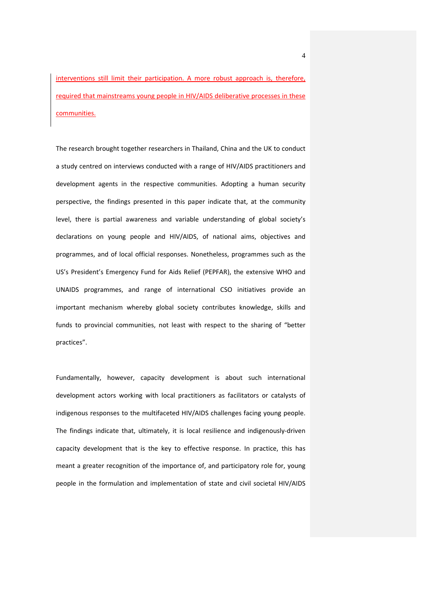interventions still limit their participation. A more robust approach is, therefore, required that mainstreams young people in HIV/AIDS deliberative processes in these communities.

The research brought together researchers in Thailand, China and the UK to conduct a study centred on interviews conducted with a range of HIV/AIDS practitioners and development agents in the respective communities. Adopting a human security perspective, the findings presented in this paper indicate that, at the community level, there is partial awareness and variable understanding of global society's declarations on young people and HIV/AIDS, of national aims, objectives and programmes, and of local official responses. Nonetheless, programmes such as the US's President's Emergency Fund for Aids Relief (PEPFAR), the extensive WHO and UNAIDS programmes, and range of international CSO initiatives provide an important mechanism whereby global society contributes knowledge, skills and funds to provincial communities, not least with respect to the sharing of "better practices".

Fundamentally, however, capacity development is about such international development actors working with local practitioners as facilitators or catalysts of indigenous responses to the multifaceted HIV/AIDS challenges facing young people. The findings indicate that, ultimately, it is local resilience and indigenously-driven capacity development that is the key to effective response. In practice, this has meant a greater recognition of the importance of, and participatory role for, young people in the formulation and implementation of state and civil societal HIV/AIDS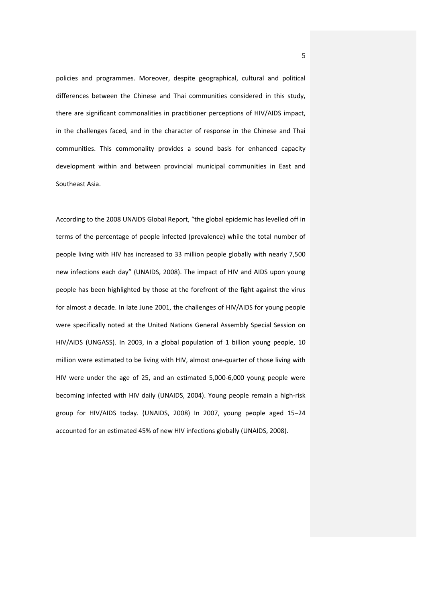policies and programmes. Moreover, despite geographical, cultural and political differences between the Chinese and Thai communities considered in this study, there are significant commonalities in practitioner perceptions of HIV/AIDS impact, in the challenges faced, and in the character of response in the Chinese and Thai communities. This commonality provides a sound basis for enhanced capacity development within and between provincial municipal communities in East and Southeast Asia.

According to the 2008 UNAIDS Global Report, "the global epidemic has levelled off in terms of the percentage of people infected (prevalence) while the total number of people living with HIV has increased to 33 million people globally with nearly 7,500 new infections each day" (UNAIDS, 2008). The impact of HIV and AIDS upon young people has been highlighted by those at the forefront of the fight against the virus for almost a decade. In late June 2001, the challenges of HIV/AIDS for young people were specifically noted at the United Nations General Assembly Special Session on HIV/AIDS (UNGASS). In 2003, in a global population of 1 billion young people, 10 million were estimated to be living with HIV, almost one-quarter of those living with HIV were under the age of 25, and an estimated 5,000-6,000 young people were becoming infected with HIV daily (UNAIDS, 2004). Young people remain a high-risk group for HIV/AIDS today. (UNAIDS, 2008) In 2007, young people aged 15–24 accounted for an estimated 45% of new HIV infections globally (UNAIDS, 2008).

5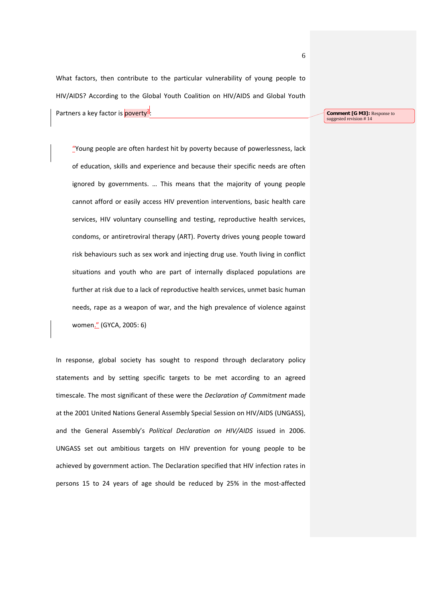What factors, then contribute to the particular vulnerability of young people to HIV/AIDS? According to the Global Youth Coalition on HIV/AIDS and Global Youth Partners a key factor is poverty<sup>2</sup>

**Comment [G M3]:** Response to suggested revision #14

"Young people are often hardest hit by poverty because of powerlessness, lack of education, skills and experience and because their specific needs are often ignored by governments. … This means that the majority of young people cannot afford or easily access HIV prevention interventions, basic health care services, HIV voluntary counselling and testing, reproductive health services, condoms, or antiretroviral therapy (ART). Poverty drives young people toward risk behaviours such as sex work and injecting drug use. Youth living in conflict situations and youth who are part of internally displaced populations are further at risk due to a lack of reproductive health services, unmet basic human needs, rape as a weapon of war, and the high prevalence of violence against women." (GYCA, 2005: 6)

In response, global society has sought to respond through declaratory policy statements and by setting specific targets to be met according to an agreed timescale. The most significant of these were the *Declaration of Commitment* made at the 2001 United Nations General Assembly Special Session on HIV/AIDS (UNGASS), and the General Assembly's *Political Declaration on HIV/AIDS* issued in 2006. UNGASS set out ambitious targets on HIV prevention for young people to be achieved by government action. The Declaration specified that HIV infection rates in persons 15 to 24 years of age should be reduced by 25% in the most-affected

6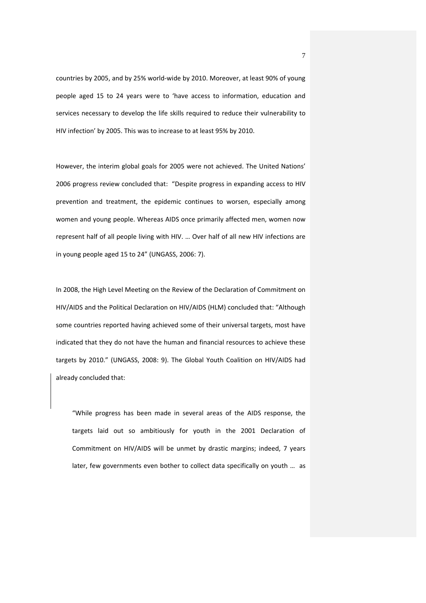countries by 2005, and by 25% world-wide by 2010. Moreover, at least 90% of young people aged 15 to 24 years were to 'have access to information, education and services necessary to develop the life skills required to reduce their vulnerability to HIV infection' by 2005. This was to increase to at least 95% by 2010.

However, the interim global goals for 2005 were not achieved. The United Nations' 2006 progress review concluded that: "Despite progress in expanding access to HIV prevention and treatment, the epidemic continues to worsen, especially among women and young people. Whereas AIDS once primarily affected men, women now represent half of all people living with HIV. … Over half of all new HIV infections are in young people aged 15 to 24" (UNGASS, 2006: 7).

In 2008, the High Level Meeting on the Review of the Declaration of Commitment on HIV/AIDS and the Political Declaration on HIV/AIDS (HLM) concluded that: "Although some countries reported having achieved some of their universal targets, most have indicated that they do not have the human and financial resources to achieve these targets by 2010." (UNGASS, 2008: 9). The Global Youth Coalition on HIV/AIDS had already concluded that:

"While progress has been made in several areas of the AIDS response, the targets laid out so ambitiously for youth in the 2001 Declaration of Commitment on HIV/AIDS will be unmet by drastic margins; indeed, 7 years later, few governments even bother to collect data specifically on youth … as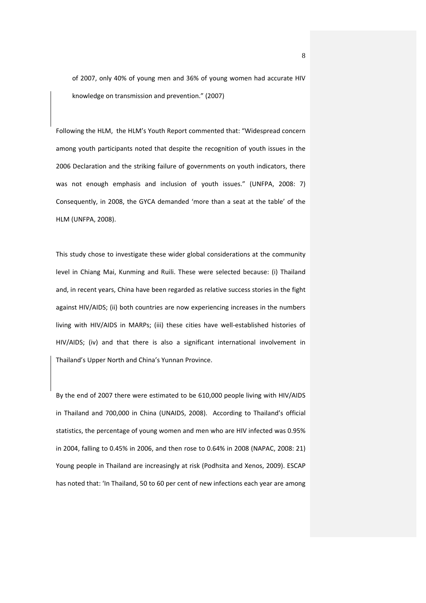of 2007, only 40% of young men and 36% of young women had accurate HIV knowledge on transmission and prevention." (2007)

Following the HLM, the HLM's Youth Report commented that: "Widespread concern among youth participants noted that despite the recognition of youth issues in the 2006 Declaration and the striking failure of governments on youth indicators, there was not enough emphasis and inclusion of youth issues." (UNFPA, 2008: 7) Consequently, in 2008, the GYCA demanded 'more than a seat at the table' of the HLM (UNFPA, 2008).

This study chose to investigate these wider global considerations at the community level in Chiang Mai, Kunming and Ruili. These were selected because: (i) Thailand and, in recent years, China have been regarded as relative success stories in the fight against HIV/AIDS; (ii) both countries are now experiencing increases in the numbers living with HIV/AIDS in MARPs; (iii) these cities have well-established histories of HIV/AIDS; (iv) and that there is also a significant international involvement in Thailand's Upper North and China's Yunnan Province.

By the end of 2007 there were estimated to be 610,000 people living with HIV/AIDS in Thailand and 700,000 in China (UNAIDS, 2008). According to Thailand's official statistics, the percentage of young women and men who are HIV infected was 0.95% in 2004, falling to 0.45% in 2006, and then rose to 0.64% in 2008 (NAPAC, 2008: 21) Young people in Thailand are increasingly at risk (Podhsita and Xenos, 2009). ESCAP has noted that: 'In Thailand, 50 to 60 per cent of new infections each year are among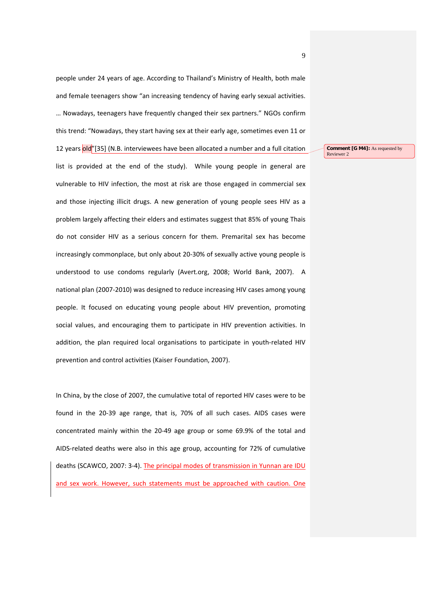people under 24 years of age. According to Thailand's Ministry of Health, both male and female teenagers show "an increasing tendency of having early sexual activities. … Nowadays, teenagers have frequently changed their sex partners." NGOs confirm this trend: "Nowadays, they start having sex at their early age, sometimes even 11 or 12 years old<sup>"</sup>[35] (N.B. interviewees have been allocated a number and a full citation list is provided at the end of the study). While young people in general are vulnerable to HIV infection, the most at risk are those engaged in commercial sex and those injecting illicit drugs. A new generation of young people sees HIV as a problem largely affecting their elders and estimates suggest that 85% of young Thais do not consider HIV as a serious concern for them. Premarital sex has become increasingly commonplace, but only about 20-30% of sexually active young people is understood to use condoms regularly (Avert.org, 2008; World Bank, 2007). A national plan (2007-2010) was designed to reduce increasing HIV cases among young people. It focused on educating young people about HIV prevention, promoting social values, and encouraging them to participate in HIV prevention activities. In addition, the plan required local organisations to participate in youth-related HIV prevention and control activities (Kaiser Foundation, 2007).

In China, by the close of 2007, the cumulative total of reported HIV cases were to be found in the 20-39 age range, that is, 70% of all such cases. AIDS cases were concentrated mainly within the 20-49 age group or some 69.9% of the total and AIDS-related deaths were also in this age group, accounting for 72% of cumulative deaths (SCAWCO, 2007: 3-4). The principal modes of transmission in Yunnan are IDU and sex work. However, such statements must be approached with caution. One

**Comment [G M4]:** As requested by Reviewer 2

9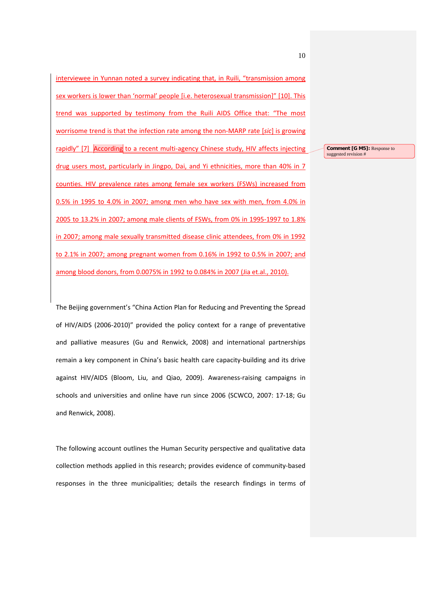interviewee in Yunnan noted a survey indicating that, in Ruili, "transmission among sex workers is lower than 'normal' people [i.e. heterosexual transmission]" [10]. This trend was supported by testimony from the Ruili AIDS Office that: "The most worrisome trend is that the infection rate among the non-MARP rate [*sic*] is growing rapidly" [7] According to a recent multi-agency Chinese study, HIV affects injecting drug users most, particularly in Jingpo, Dai, and Yi ethnicities, more than 40% in 7 counties. HIV prevalence rates among female sex workers (FSWs) increased from 0.5% in 1995 to 4.0% in 2007; among men who have sex with men, from 4.0% in 2005 to 13.2% in 2007; among male clients of FSWs, from 0% in 1995-1997 to 1.8% in 2007; among male sexually transmitted disease clinic attendees, from 0% in 1992 to 2.1% in 2007; among pregnant women from 0.16% in 1992 to 0.5% in 2007; and among blood donors, from 0.0075% in 1992 to 0.084% in 2007 (Jia et.al., 2010).

The Beijing government's "China Action Plan for Reducing and Preventing the Spread of HIV/AIDS (2006-2010)" provided the policy context for a range of preventative and palliative measures (Gu and Renwick, 2008) and international partnerships remain a key component in China's basic health care capacity-building and its drive against HIV/AIDS (Bloom, Liu, and Qiao, 2009). Awareness-raising campaigns in schools and universities and online have run since 2006 (SCWCO, 2007: 17-18; Gu and Renwick, 2008).

The following account outlines the Human Security perspective and qualitative data collection methods applied in this research; provides evidence of community-based responses in the three municipalities; details the research findings in terms of

**Comment [G M5]:** Response to suggested revision #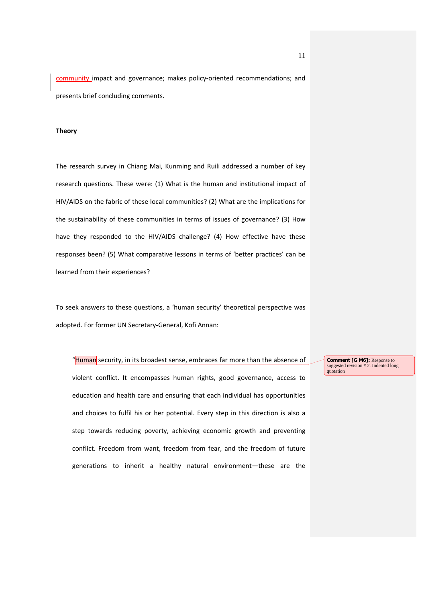community impact and governance; makes policy-oriented recommendations; and presents brief concluding comments.

### **Theory**

The research survey in Chiang Mai, Kunming and Ruili addressed a number of key research questions. These were: (1) What is the human and institutional impact of HIV/AIDS on the fabric of these local communities? (2) What are the implications for the sustainability of these communities in terms of issues of governance? (3) How have they responded to the HIV/AIDS challenge? (4) How effective have these responses been? (5) What comparative lessons in terms of 'better practices' can be learned from their experiences?

To seek answers to these questions, a 'human security' theoretical perspective was adopted. For former UN Secretary-General, Kofi Annan:

"Human security, in its broadest sense, embraces far more than the absence of

violent conflict. It encompasses human rights, good governance, access to education and health care and ensuring that each individual has opportunities and choices to fulfil his or her potential. Every step in this direction is also a step towards reducing poverty, achieving economic growth and preventing conflict. Freedom from want, freedom from fear, and the freedom of future generations to inherit a healthy natural environment—these are the

**Comment [G M6]:** Response to suggested revision # 2. Indented long quotation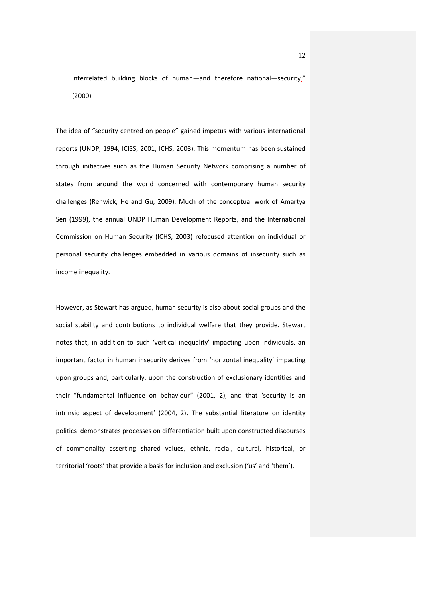interrelated building blocks of human—and therefore national—security." (2000)

The idea of "security centred on people" gained impetus with various international reports (UNDP, 1994; ICISS, 2001; ICHS, 2003). This momentum has been sustained through initiatives such as the Human Security Network comprising a number of states from around the world concerned with contemporary human security challenges (Renwick, He and Gu, 2009). Much of the conceptual work of Amartya Sen (1999), the annual UNDP Human Development Reports, and the International Commission on Human Security (ICHS, 2003) refocused attention on individual or personal security challenges embedded in various domains of insecurity such as income inequality.

However, as Stewart has argued, human security is also about social groups and the social stability and contributions to individual welfare that they provide. Stewart notes that, in addition to such 'vertical inequality' impacting upon individuals, an important factor in human insecurity derives from 'horizontal inequality' impacting upon groups and, particularly, upon the construction of exclusionary identities and their "fundamental influence on behaviour" (2001, 2), and that 'security is an intrinsic aspect of development' (2004, 2). The substantial literature on identity politics demonstrates processes on differentiation built upon constructed discourses of commonality asserting shared values, ethnic, racial, cultural, historical, or territorial 'roots' that provide a basis for inclusion and exclusion ('us' and 'them').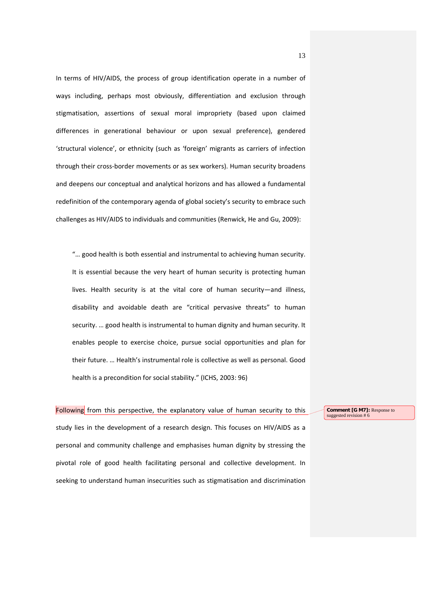In terms of HIV/AIDS, the process of group identification operate in a number of ways including, perhaps most obviously, differentiation and exclusion through stigmatisation, assertions of sexual moral impropriety (based upon claimed differences in generational behaviour or upon sexual preference), gendered 'structural violence', or ethnicity (such as 'foreign' migrants as carriers of infection through their cross-border movements or as sex workers). Human security broadens and deepens our conceptual and analytical horizons and has allowed a fundamental redefinition of the contemporary agenda of global society's security to embrace such challenges as HIV/AIDS to individuals and communities (Renwick, He and Gu, 2009):

"… good health is both essential and instrumental to achieving human security. It is essential because the very heart of human security is protecting human lives. Health security is at the vital core of human security—and illness, disability and avoidable death are "critical pervasive threats" to human security. … good health is instrumental to human dignity and human security. It enables people to exercise choice, pursue social opportunities and plan for their future. … Health's instrumental role is collective as well as personal. Good health is a precondition for social stability." (ICHS, 2003: 96)

# Following from this perspective, the explanatory value of human security to this

study lies in the development of a research design. This focuses on HIV/AIDS as a personal and community challenge and emphasises human dignity by stressing the pivotal role of good health facilitating personal and collective development. In seeking to understand human insecurities such as stigmatisation and discrimination

**Comment [G M7]:** Response to suggested revision # 6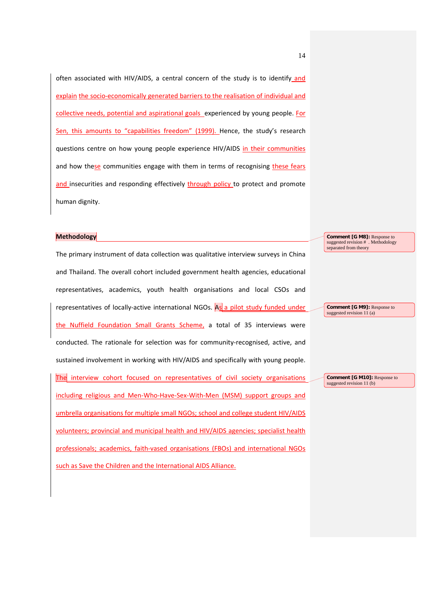often associated with HIV/AIDS, a central concern of the study is to identify and explain the socio-economically generated barriers to the realisation of individual and collective needs, potential and aspirational goals experienced by young people. For Sen, this amounts to "capabilities freedom" (1999). Hence, the study's research questions centre on how young people experience HIV/AIDS in their communities and how these communities engage with them in terms of recognising these fears and insecurities and responding effectively through policy to protect and promote human dignity.

#### **Methodology**

The primary instrument of data collection was qualitative interview surveys in China and Thailand. The overall cohort included government health agencies, educational representatives, academics, youth health organisations and local CSOs and representatives of locally-active international NGOs. As a pilot study funded under the Nuffield Foundation Small Grants Scheme, a total of 35 interviews were conducted. The rationale for selection was for community-recognised, active, and sustained involvement in working with HIV/AIDS and specifically with young people. The interview cohort focused on representatives of civil society organisations including religious and Men-Who-Have-Sex-With-Men (MSM) support groups and umbrella organisations for multiple small NGOs; school and college student HIV/AIDS volunteers; provincial and municipal health and HIV/AIDS agencies; specialist health professionals; academics, faith-vased organisations (FBOs) and international NGOs such as Save the Children and the International AIDS Alliance.

**Comment [G M8]:** Response to suggested revision # . Methodology separated from theory

**Comment [G M9]:** Response to suggested revision 11 (a)

**Comment [G M10]:** Response to suggested revision 11 (b)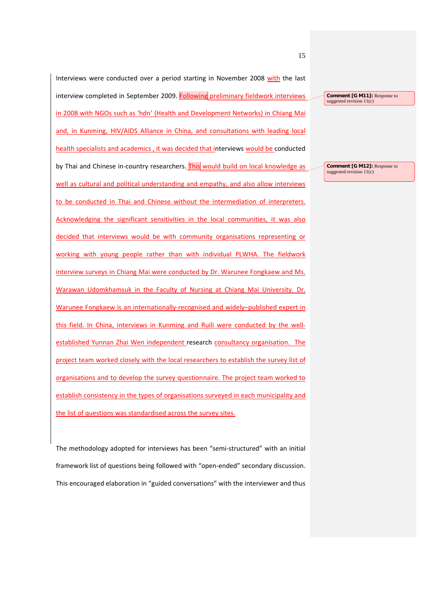Interviews were conducted over a period starting in November 2008 with the last interview completed in September 2009. Following preliminary fieldwork interviews in 2008 with NGOs such as 'hdn' (Health and Development Networks) in Chiang Mai and, in Kunming, HIV/AIDS Alliance in China, and consultations with leading local health specialists and academics , it was decided that interviews would be conducted by Thai and Chinese in-country researchers. This would build on local knowledge as well as cultural and political understanding and empathy, and also allow interviews to be conducted in Thai and Chinese without the intermediation of interpreters. Acknowledging the significant sensitivities in the local communities, it was also decided that interviews would be with community organisations representing or working with young people rather than with individual PLWHA. The fieldwork interview surveys in Chiang Mai were conducted by Dr. Warunee Fongkaew and Ms. Warawan Udomkhamsuk in the Faculty of Nursing at Chiang Mai University. Dr. Warunee Fongkaew is an internationally-recognised and widely–published expert in this field. In China, interviews in Kunming and Ruili were conducted by the wellestablished Yunnan Zhai Wen independent research consultancy organisation. The project team worked closely with the local researchers to establish the survey list of organisations and to develop the survey questionnaire. The project team worked to establish consistency in the types of organisations surveyed in each municipality and the list of questions was standardised across the survey sites.

The methodology adopted for interviews has been "semi-structured" with an initial framework list of questions being followed with "open-ended" secondary discussion. This encouraged elaboration in "guided conversations" with the interviewer and thus

15

**Comment [G M11]:** Response to suggested revision 11(c)

**Comment [G M12]:** Response to suggested revision 11(c)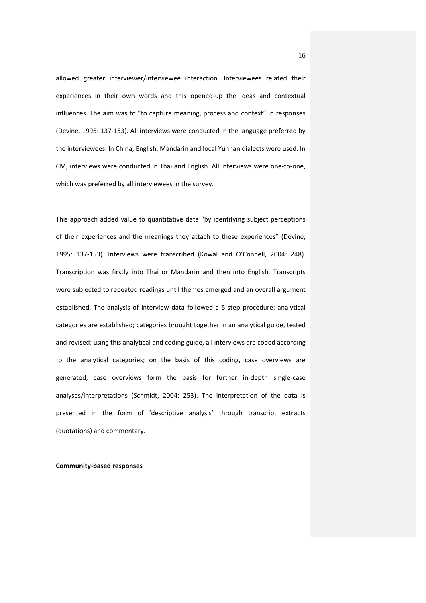allowed greater interviewer/interviewee interaction. Interviewees related their experiences in their own words and this opened-up the ideas and contextual influences. The aim was to "to capture meaning, process and context" in responses (Devine, 1995: 137-153). All interviews were conducted in the language preferred by the interviewees. In China, English, Mandarin and local Yunnan dialects were used. In CM, interviews were conducted in Thai and English. All interviews were one-to-one, which was preferred by all interviewees in the survey.

This approach added value to quantitative data "by identifying subject perceptions of their experiences and the meanings they attach to these experiences" (Devine, 1995: 137-153). Interviews were transcribed (Kowal and O'Connell, 2004: 248). Transcription was firstly into Thai or Mandarin and then into English. Transcripts were subjected to repeated readings until themes emerged and an overall argument established. The analysis of interview data followed a 5-step procedure: analytical categories are established; categories brought together in an analytical guide, tested and revised; using this analytical and coding guide, all interviews are coded according to the analytical categories; on the basis of this coding, case overviews are generated; case overviews form the basis for further in-depth single-case analyses/interpretations (Schmidt, 2004: 253). The interpretation of the data is presented in the form of 'descriptive analysis' through transcript extracts (quotations) and commentary.

**Community-based responses** 

16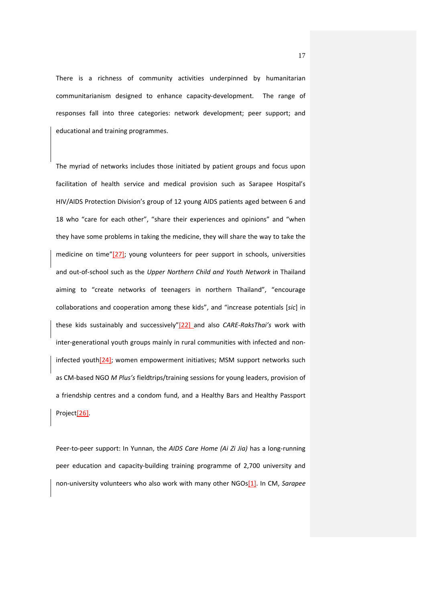There is a richness of community activities underpinned by humanitarian communitarianism designed to enhance capacity-development. The range of responses fall into three categories: network development; peer support; and educational and training programmes.

The myriad of networks includes those initiated by patient groups and focus upon facilitation of health service and medical provision such as Sarapee Hospital's HIV/AIDS Protection Division's group of 12 young AIDS patients aged between 6 and 18 who "care for each other", "share their experiences and opinions" and "when they have some problems in taking the medicine, they will share the way to take the medicine on time"[27]; young volunteers for peer support in schools, universities and out-of-school such as the *Upper Northern Child and Youth Network* in Thailand aiming to "create networks of teenagers in northern Thailand", "encourage collaborations and cooperation among these kids", and "increase potentials [*sic*] in these kids sustainably and successively"[22] and also *CARE-RaksThai's* work with inter-generational youth groups mainly in rural communities with infected and noninfected youth[24]; women empowerment initiatives; MSM support networks such as CM-based NGO *M Plus's* fieldtrips/training sessions for young leaders, provision of a friendship centres and a condom fund, and a Healthy Bars and Healthy Passport Project[26].

Peer-to-peer support: In Yunnan, the *AIDS Care Home (Ai Zi Jia)* has a long-running peer education and capacity-building training programme of 2,700 university and non-university volunteers who also work with many other NGOs[1]. In CM, *Sarapee*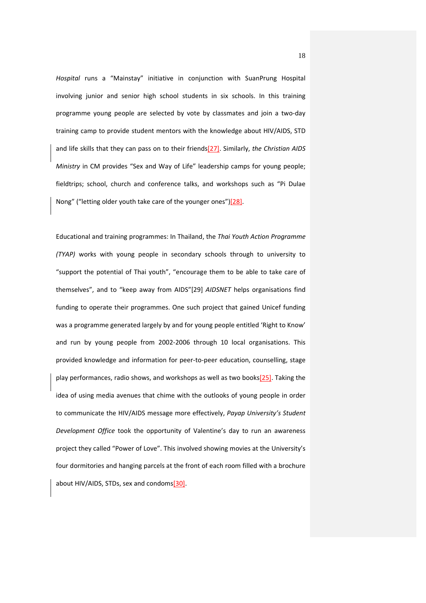*Hospital* runs a "Mainstay" initiative in conjunction with SuanPrung Hospital involving junior and senior high school students in six schools. In this training programme young people are selected by vote by classmates and join a two-day training camp to provide student mentors with the knowledge about HIV/AIDS, STD and life skills that they can pass on to their friends[27]. Similarly, *the Christian AIDS Ministry* in CM provides "Sex and Way of Life" leadership camps for young people; fieldtrips; school, church and conference talks, and workshops such as "Pi Dulae Nong" ("letting older youth take care of the younger ones")[28].

Educational and training programmes: In Thailand, the *Thai Youth Action Programme (TYAP)* works with young people in secondary schools through to university to "support the potential of Thai youth", "encourage them to be able to take care of themselves", and to "keep away from AIDS"[29] *AIDSNET* helps organisations find funding to operate their programmes. One such project that gained Unicef funding was a programme generated largely by and for young people entitled 'Right to Know' and run by young people from 2002-2006 through 10 local organisations. This provided knowledge and information for peer-to-peer education, counselling, stage play performances, radio shows, and workshops as well as two books[25]. Taking the idea of using media avenues that chime with the outlooks of young people in order to communicate the HIV/AIDS message more effectively, *Payap University's Student Development Office* took the opportunity of Valentine's day to run an awareness project they called "Power of Love". This involved showing movies at the University's four dormitories and hanging parcels at the front of each room filled with a brochure about HIV/AIDS, STDs, sex and condoms[30].

18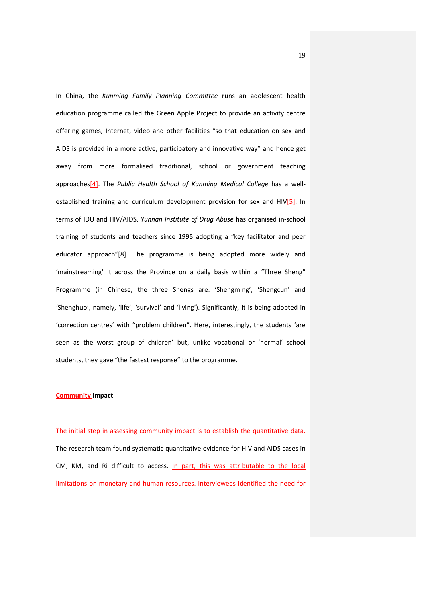In China, the *Kunming Family Planning Committee* runs an adolescent health education programme called the Green Apple Project to provide an activity centre offering games, Internet, video and other facilities "so that education on sex and AIDS is provided in a more active, participatory and innovative way" and hence get away from more formalised traditional, school or government teaching approaches[4]. The *Public Health School of Kunming Medical College* has a wellestablished training and curriculum development provision for sex and HIV<sup>[5]</sup>. In terms of IDU and HIV/AIDS, *Yunnan Institute of Drug Abuse* has organised in-school training of students and teachers since 1995 adopting a "key facilitator and peer educator approach"[8]. The programme is being adopted more widely and 'mainstreaming' it across the Province on a daily basis within a "Three Sheng" Programme (in Chinese, the three Shengs are: 'Shengming', 'Shengcun' and 'Shenghuo', namely, 'life', 'survival' and 'living'). Significantly, it is being adopted in 'correction centres' with "problem children". Here, interestingly, the students 'are seen as the worst group of children' but, unlike vocational or 'normal' school students, they gave "the fastest response" to the programme.

#### **Community Impact**

The initial step in assessing community impact is to establish the quantitative data. The research team found systematic quantitative evidence for HIV and AIDS cases in CM, KM, and Ri difficult to access. In part, this was attributable to the local limitations on monetary and human resources. Interviewees identified the need for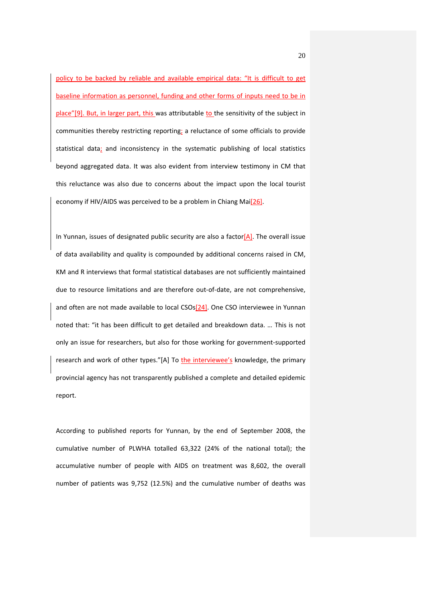policy to be backed by reliable and available empirical data: "It is difficult to get baseline information as personnel, funding and other forms of inputs need to be in place"[9]. But, in larger part, this was attributable to the sensitivity of the subject in communities thereby restricting reporting; a reluctance of some officials to provide statistical data; and inconsistency in the systematic publishing of local statistics beyond aggregated data. It was also evident from interview testimony in CM that this reluctance was also due to concerns about the impact upon the local tourist economy if HIV/AIDS was perceived to be a problem in Chiang Mai<sup>[26]</sup>.

In Yunnan, issues of designated public security are also a factor $[A]$ . The overall issue of data availability and quality is compounded by additional concerns raised in CM, KM and R interviews that formal statistical databases are not sufficiently maintained due to resource limitations and are therefore out-of-date, are not comprehensive, and often are not made available to local CSOs<sup>[24]</sup>. One CSO interviewee in Yunnan noted that: "it has been difficult to get detailed and breakdown data. … This is not only an issue for researchers, but also for those working for government-supported research and work of other types."[A] To the interviewee's knowledge, the primary provincial agency has not transparently published a complete and detailed epidemic report.

According to published reports for Yunnan, by the end of September 2008, the cumulative number of PLWHA totalled 63,322 (24% of the national total); the accumulative number of people with AIDS on treatment was 8,602, the overall number of patients was 9,752 (12.5%) and the cumulative number of deaths was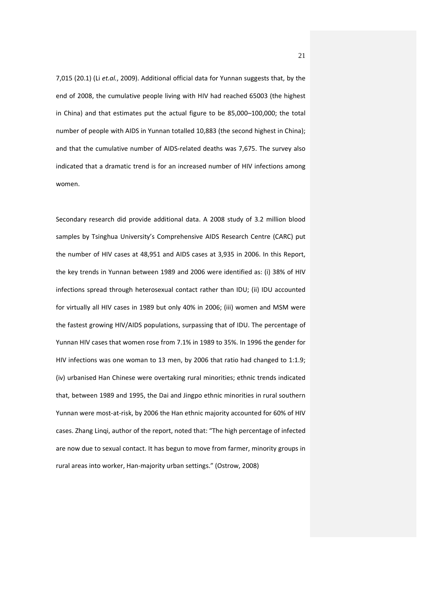7,015 (20.1) (Li *et.al.*, 2009). Additional official data for Yunnan suggests that, by the end of 2008, the cumulative people living with HIV had reached 65003 (the highest in China) and that estimates put the actual figure to be 85,000–100,000; the total number of people with AIDS in Yunnan totalled 10,883 (the second highest in China); and that the cumulative number of AIDS-related deaths was 7,675. The survey also indicated that a dramatic trend is for an increased number of HIV infections among women.

Secondary research did provide additional data. A 2008 study of 3.2 million blood samples by Tsinghua University's Comprehensive AIDS Research Centre (CARC) put the number of HIV cases at 48,951 and AIDS cases at 3,935 in 2006. In this Report, the key trends in Yunnan between 1989 and 2006 were identified as: (i) 38% of HIV infections spread through heterosexual contact rather than IDU; (ii) IDU accounted for virtually all HIV cases in 1989 but only 40% in 2006; (iii) women and MSM were the fastest growing HIV/AIDS populations, surpassing that of IDU. The percentage of Yunnan HIV cases that women rose from 7.1% in 1989 to 35%. In 1996 the gender for HIV infections was one woman to 13 men, by 2006 that ratio had changed to 1:1.9; (iv) urbanised Han Chinese were overtaking rural minorities; ethnic trends indicated that, between 1989 and 1995, the Dai and Jingpo ethnic minorities in rural southern Yunnan were most-at-risk, by 2006 the Han ethnic majority accounted for 60% of HIV cases. Zhang Linqi, author of the report, noted that: "The high percentage of infected are now due to sexual contact. It has begun to move from farmer, minority groups in rural areas into worker, Han-majority urban settings." (Ostrow, 2008)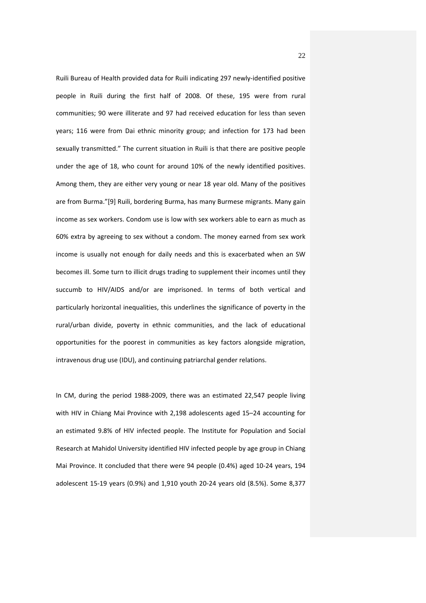Ruili Bureau of Health provided data for Ruili indicating 297 newly-identified positive people in Ruili during the first half of 2008. Of these, 195 were from rural communities; 90 were illiterate and 97 had received education for less than seven years; 116 were from Dai ethnic minority group; and infection for 173 had been sexually transmitted." The current situation in Ruili is that there are positive people under the age of 18, who count for around 10% of the newly identified positives. Among them, they are either very young or near 18 year old. Many of the positives are from Burma."[9] Ruili, bordering Burma, has many Burmese migrants. Many gain income as sex workers. Condom use is low with sex workers able to earn as much as 60% extra by agreeing to sex without a condom. The money earned from sex work income is usually not enough for daily needs and this is exacerbated when an SW becomes ill. Some turn to illicit drugs trading to supplement their incomes until they succumb to HIV/AIDS and/or are imprisoned. In terms of both vertical and particularly horizontal inequalities, this underlines the significance of poverty in the rural/urban divide, poverty in ethnic communities, and the lack of educational opportunities for the poorest in communities as key factors alongside migration, intravenous drug use (IDU), and continuing patriarchal gender relations.

In CM, during the period 1988-2009, there was an estimated 22,547 people living with HIV in Chiang Mai Province with 2,198 adolescents aged 15–24 accounting for an estimated 9.8% of HIV infected people. The Institute for Population and Social Research at Mahidol University identified HIV infected people by age group in Chiang Mai Province. It concluded that there were 94 people (0.4%) aged 10-24 years, 194 adolescent 15-19 years (0.9%) and 1,910 youth 20-24 years old (8.5%). Some 8,377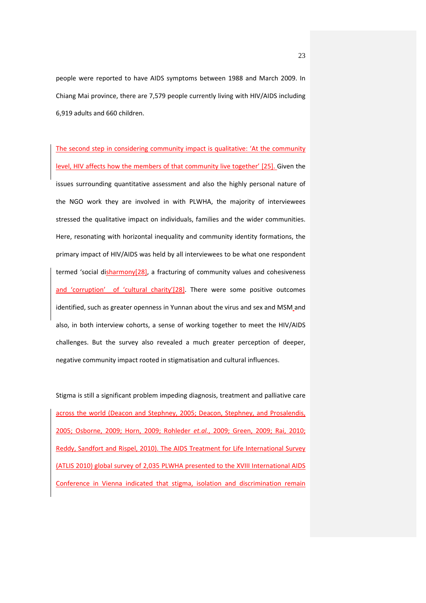people were reported to have AIDS symptoms between 1988 and March 2009. In Chiang Mai province, there are 7,579 people currently living with HIV/AIDS including 6,919 adults and 660 children.

The second step in considering community impact is qualitative: 'At the community level, HIV affects how the members of that community live together' [25]. Given the issues surrounding quantitative assessment and also the highly personal nature of the NGO work they are involved in with PLWHA, the majority of interviewees stressed the qualitative impact on individuals, families and the wider communities. Here, resonating with horizontal inequality and community identity formations, the primary impact of HIV/AIDS was held by all interviewees to be what one respondent termed 'social disharmony $[28]$ , a fracturing of community values and cohesiveness and 'corruption' of 'cultural charity'[28]. There were some positive outcomes identified, such as greater openness in Yunnan about the virus and sex and MSM and also, in both interview cohorts, a sense of working together to meet the HIV/AIDS challenges. But the survey also revealed a much greater perception of deeper, negative community impact rooted in stigmatisation and cultural influences.

Stigma is still a significant problem impeding diagnosis, treatment and palliative care across the world (Deacon and Stephney, 2005; Deacon, Stephney, and Prosalendis, 2005; Osborne, 2009; Horn, 2009; Rohleder *et.al.*, 2009; Green, 2009; Rai, 2010; Reddy, Sandfort and Rispel, 2010). The AIDS Treatment for Life International Survey (ATLIS 2010) global survey of 2,035 PLWHA presented to the XVIII International AIDS Conference in Vienna indicated that stigma, isolation and discrimination remain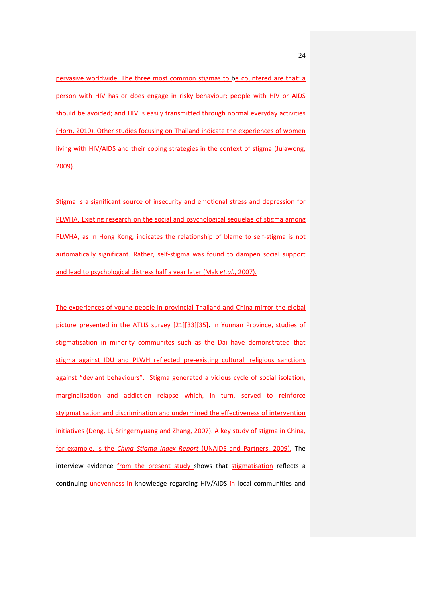pervasive worldwide. The three most common stigmas to be countered are that: a person with HIV has or does engage in risky behaviour; people with HIV or AIDS should be avoided; and HIV is easily transmitted through normal everyday activities (Horn, 2010). Other studies focusing on Thailand indicate the experiences of women living with HIV/AIDS and their coping strategies in the context of stigma (Julawong, 2009).

Stigma is a significant source of insecurity and emotional stress and depression for PLWHA. Existing research on the social and psychological sequelae of stigma among PLWHA, as in Hong Kong, indicates the relationship of blame to self-stigma is not automatically significant. Rather, self-stigma was found to dampen social support and lead to psychological distress half a year later (Mak *et.al.*, 2007).

The experiences of young people in provincial Thailand and China mirror the global picture presented in the ATLIS survey [21][33][35]. In Yunnan Province, studies of stigmatisation in minority communites such as the Dai have demonstrated that stigma against IDU and PLWH reflected pre-existing cultural, religious sanctions against "deviant behaviours". Stigma generated a vicious cycle of social isolation, marginalisation and addiction relapse which, in turn, served to reinforce styigmatisation and discrimination and undermined the effectiveness of intervention initiatives (Deng, Li, Sringernyuang and Zhang, 2007). A key study of stigma in China, for example, is the *China Stigma Index Report* (UNAIDS and Partners, 2009). The interview evidence from the present study shows that stigmatisation reflects a continuing unevenness in knowledge regarding HIV/AIDS in local communities and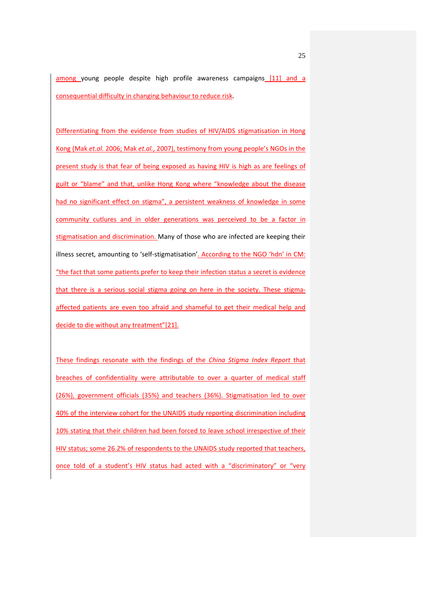among young people despite high profile awareness campaigns [11] and a consequential difficulty in changing behaviour to reduce risk.

Differentiating from the evidence from studies of HIV/AIDS stigmatisation in Hong Kong (Mak *et.al.* 2006; Mak *et.al.*, 2007), testimony from young people's NGOs in the present study is that fear of being exposed as having HIV is high as are feelings of guilt or "blame" and that, unlike Hong Kong where "knowledge about the disease had no significant effect on stigma", a persistent weakness of knowledge in some community cutlures and in older generations was perceived to be a factor in stigmatisation and discrimination. Many of those who are infected are keeping their illness secret, amounting to 'self-stigmatisation'. According to the NGO 'hdn' in CM: "the fact that some patients prefer to keep their infection status a secret is evidence that there is a serious social stigma going on here in the society. These stigmaaffected patients are even too afraid and shameful to get their medical help and decide to die without any treatment"[21].

These findings resonate with the findings of the *China Stigma Index Report* that breaches of confidentiality were attributable to over a quarter of medical staff (26%), government officials (35%) and teachers (36%). Stigmatisation led to over 40% of the interview cohort for the UNAIDS study reporting discrimination including 10% stating that their children had been forced to leave school irrespective of their HIV status; some 26.2% of respondents to the UNAIDS study reported that teachers, once told of a student's HIV status had acted with a "discriminatory" or "very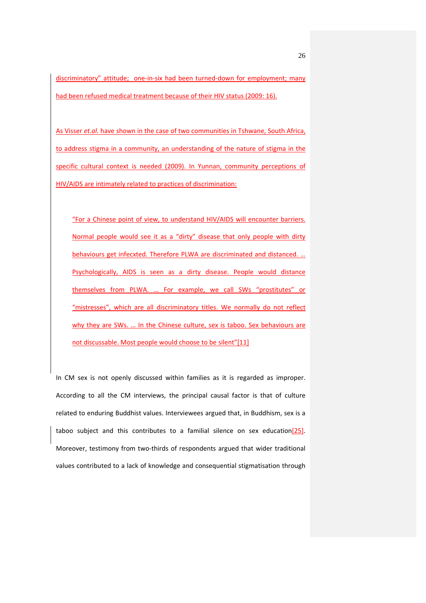discriminatory" attitude; one-in-six had been turned-down for employment; many had been refused medical treatment because of their HIV status (2009: 16).

As Visser *et.al.* have shown in the case of two communities in Tshwane, South Africa, to address stigma in a community, an understanding of the nature of stigma in the specific cultural context is needed (2009). In Yunnan, community perceptions of HIV/AIDS are intimately related to practices of discrimination:

"For a Chinese point of view, to understand HIV/AIDS will encounter barriers. Normal people would see it as a "dirty" disease that only people with dirty behaviours get infecxted. Therefore PLWA are discriminated and distanced. … Psychologically, AIDS is seen as a dirty disease. People would distance themselves from PLWA. … For example, we call SWs "prostitutes" or "mistresses", which are all discriminatory titles. We normally do not reflect why they are SWs. ... In the Chinese culture, sex is taboo. Sex behaviours are not discussable. Most people would choose to be silent"[11]

In CM sex is not openly discussed within families as it is regarded as improper. According to all the CM interviews, the principal causal factor is that of culture related to enduring Buddhist values. Interviewees argued that, in Buddhism, sex is a taboo subject and this contributes to a familial silence on sex education $[25]$ . Moreover, testimony from two-thirds of respondents argued that wider traditional values contributed to a lack of knowledge and consequential stigmatisation through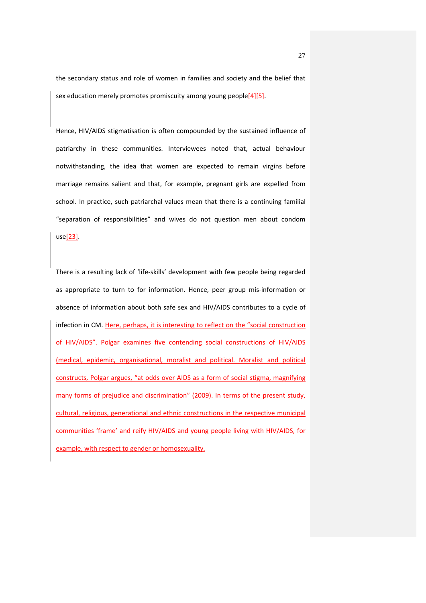the secondary status and role of women in families and society and the belief that sex education merely promotes promiscuity among young people[4][5].

Hence, HIV/AIDS stigmatisation is often compounded by the sustained influence of patriarchy in these communities. Interviewees noted that, actual behaviour notwithstanding, the idea that women are expected to remain virgins before marriage remains salient and that, for example, pregnant girls are expelled from school. In practice, such patriarchal values mean that there is a continuing familial "separation of responsibilities" and wives do not question men about condom use[23].

There is a resulting lack of 'life-skills' development with few people being regarded as appropriate to turn to for information. Hence, peer group mis-information or absence of information about both safe sex and HIV/AIDS contributes to a cycle of infection in CM. Here, perhaps, it is interesting to reflect on the "social construction of HIV/AIDS". Polgar examines five contending social constructions of HIV/AIDS (medical, epidemic, organisational, moralist and political. Moralist and political constructs, Polgar argues, "at odds over AIDS as a form of social stigma, magnifying many forms of prejudice and discrimination" (2009). In terms of the present study, cultural, religious, generational and ethnic constructions in the respective municipal communities 'frame' and reify HIV/AIDS and young people living with HIV/AIDS, for example, with respect to gender or homosexuality.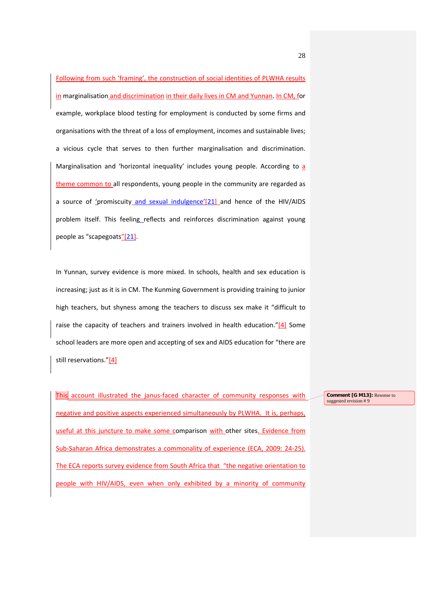Following from such 'framing', the construction of social identities of PLWHA results in marginalisation and discrimination in their daily lives in CM and Yunnan. In CM, for example, workplace blood testing for employment is conducted by some firms and organisations with the threat of a loss of employment, incomes and sustainable lives; a vicious cycle that serves to then further marginalisation and discrimination. Marginalisation and 'horizontal inequality' includes young people. According to a theme common to all respondents, young people in the community are regarded as a source of 'promiscuity and sexual indulgence'[21] and hence of the HIV/AIDS problem itself. This feeling\_reflects and reinforces discrimination against young people as "scapegoats"[21].

In Yunnan, survey evidence is more mixed. In schools, health and sex education is increasing; just as it is in CM. The Kunming Government is providing training to junior high teachers, but shyness among the teachers to discuss sex make it "difficult to raise the capacity of teachers and trainers involved in health education." $[4]$  Some school leaders are more open and accepting of sex and AIDS education for "there are still reservations."[4]

This account illustrated the janus-faced character of community responses with negative and positive aspects experienced simultaneously by PLWHA. It is, perhaps, useful at this juncture to make some comparison with other sites. Evidence from Sub-Saharan Africa demonstrates a commonality of experience (ECA, 2009: 24-25). The ECA reports survey evidence from South Africa that "the negative orientation to people with HIV/AIDS, even when only exhibited by a minority of community **Comment [G M13]:** Resonse to suggested revision # 9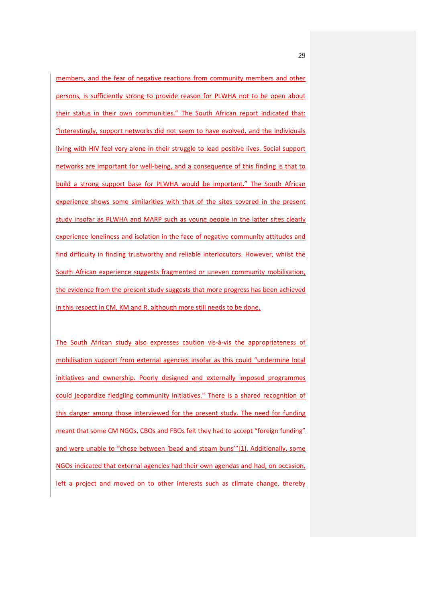members, and the fear of negative reactions from community members and other persons, is sufficiently strong to provide reason for PLWHA not to be open about their status in their own communities." The South African report indicated that: "Interestingly, support networks did not seem to have evolved, and the individuals living with HIV feel very alone in their struggle to lead positive lives. Social support networks are important for well-being, and a consequence of this finding is that to build a strong support base for PLWHA would be important." The South African experience shows some similarities with that of the sites covered in the present study insofar as PLWHA and MARP such as young people in the latter sites clearly experience loneliness and isolation in the face of negative community attitudes and find difficulty in finding trustworthy and reliable interlocutors. However, whilst the South African experience suggests fragmented or uneven community mobilisation, the evidence from the present study suggests that more progress has been achieved in this respect in CM, KM and R, although more still needs to be done.

The South African study also expresses caution vis-à-vis the appropriateness of mobilisation support from external agencies insofar as this could "undermine local initiatives and ownership. Poorly designed and externally imposed programmes could jeopardize fledgling community initiatives." There is a shared recognition of this danger among those interviewed for the present study. The need for funding meant that some CM NGOs, CBOs and FBOs felt they had to accept "foreign funding" and were unable to "chose between 'bead and steam buns'"[1]. Additionally, some NGOs indicated that external agencies had their own agendas and had, on occasion, left a project and moved on to other interests such as climate change, thereby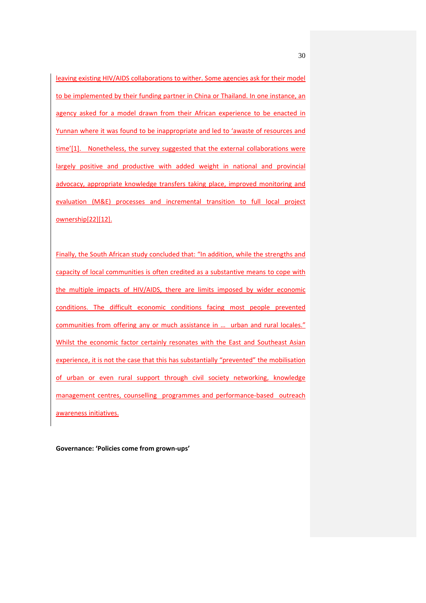leaving existing HIV/AIDS collaborations to wither. Some agencies ask for their model to be implemented by their funding partner in China or Thailand. In one instance, an agency asked for a model drawn from their African experience to be enacted in Yunnan where it was found to be inappropriate and led to 'awaste of resources and time'[1]. Nonetheless, the survey suggested that the external collaborations were largely positive and productive with added weight in national and provincial advocacy, appropriate knowledge transfers taking place, improved monitoring and evaluation (M&E) processes and incremental transition to full local project ownership[22][12].

Finally, the South African study concluded that: "In addition, while the strengths and capacity of local communities is often credited as a substantive means to cope with the multiple impacts of HIV/AIDS, there are limits imposed by wider economic conditions. The difficult economic conditions facing most people prevented communities from offering any or much assistance in ... urban and rural locales." Whilst the economic factor certainly resonates with the East and Southeast Asian experience, it is not the case that this has substantially "prevented" the mobilisation of urban or even rural support through civil society networking, knowledge management centres, counselling programmes and performance-based outreach awareness initiatives.

**Governance: 'Policies come from grown-ups'**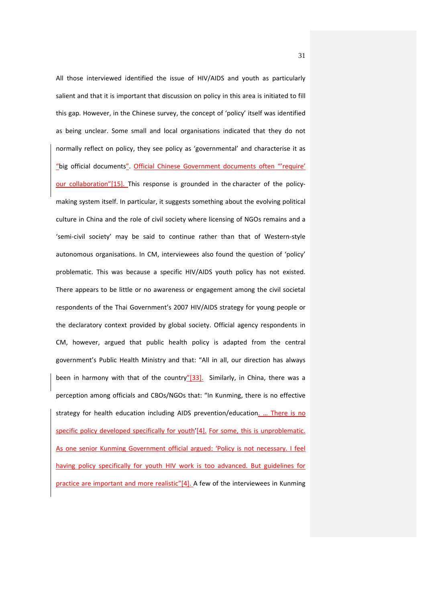All those interviewed identified the issue of HIV/AIDS and youth as particularly salient and that it is important that discussion on policy in this area is initiated to fill this gap. However, in the Chinese survey, the concept of 'policy' itself was identified as being unclear. Some small and local organisations indicated that they do not normally reflect on policy, they see policy as 'governmental' and characterise it as "big official documents". Official Chinese Government documents often "'require' our collaboration"[15]. This response is grounded in the character of the policymaking system itself. In particular, it suggests something about the evolving political culture in China and the role of civil society where licensing of NGOs remains and a 'semi-civil society' may be said to continue rather than that of Western-style autonomous organisations. In CM, interviewees also found the question of 'policy' problematic. This was because a specific HIV/AIDS youth policy has not existed. There appears to be little or no awareness or engagement among the civil societal respondents of the Thai Government's 2007 HIV/AIDS strategy for young people or the declaratory context provided by global society. Official agency respondents in CM, however, argued that public health policy is adapted from the central government's Public Health Ministry and that: "All in all, our direction has always been in harmony with that of the country"[33]. Similarly, in China, there was a perception among officials and CBOs/NGOs that: "In Kunming, there is no effective strategy for health education including AIDS prevention/education. … There is no specific policy developed specifically for youth'[4]. For some, this is unproblematic. As one senior Kunming Government official argued: 'Policy is not necessary. I feel having policy specifically for youth HIV work is too advanced. But guidelines for practice are important and more realistic"[4]. A few of the interviewees in Kunming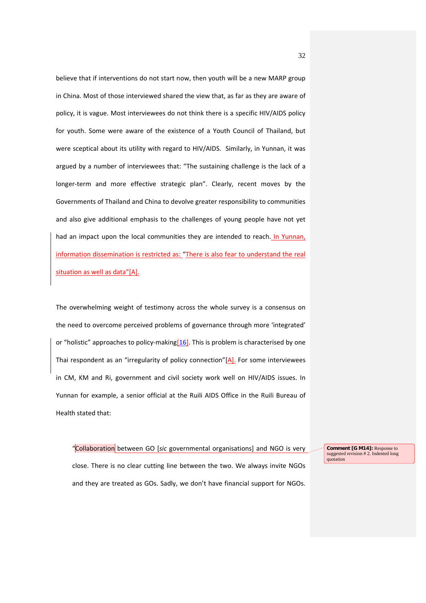believe that if interventions do not start now, then youth will be a new MARP group in China. Most of those interviewed shared the view that, as far as they are aware of policy, it is vague. Most interviewees do not think there is a specific HIV/AIDS policy for youth. Some were aware of the existence of a Youth Council of Thailand, but were sceptical about its utility with regard to HIV/AIDS. Similarly, in Yunnan, it was argued by a number of interviewees that: "The sustaining challenge is the lack of a longer-term and more effective strategic plan". Clearly, recent moves by the Governments of Thailand and China to devolve greater responsibility to communities and also give additional emphasis to the challenges of young people have not yet had an impact upon the local communities they are intended to reach. In Yunnan, information dissemination is restricted as: "There is also fear to understand the real situation as well as data"[A].

The overwhelming weight of testimony across the whole survey is a consensus on the need to overcome perceived problems of governance through more 'integrated' or "holistic" approaches to policy-making  $[16]$ . This is problem is characterised by one Thai respondent as an "irregularity of policy connection" $[A]$ . For some interviewees in CM, KM and Ri, government and civil society work well on HIV/AIDS issues. In Yunnan for example, a senior official at the Ruili AIDS Office in the Ruili Bureau of Health stated that:

"Collaboration between GO [*sic* governmental organisations] and NGO is very

close. There is no clear cutting line between the two. We always invite NGOs and they are treated as GOs. Sadly, we don't have financial support for NGOs.

**Comment [G M14]:** Response to suggested revision # 2. Indented long quotation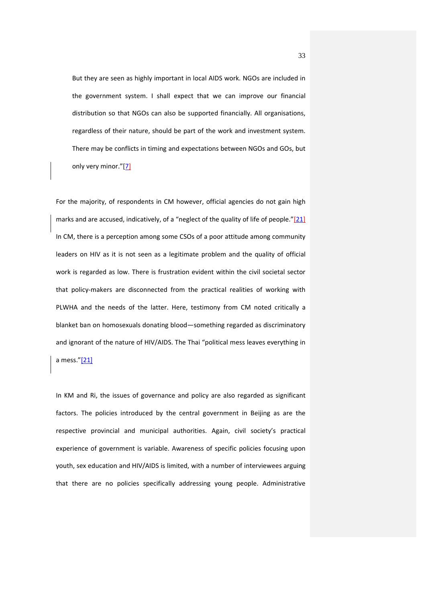But they are seen as highly important in local AIDS work. NGOs are included in the government system. I shall expect that we can improve our financial distribution so that NGOs can also be supported financially. All organisations, regardless of their nature, should be part of the work and investment system. There may be conflicts in timing and expectations between NGOs and GOs, but only very minor."[7]

For the majority, of respondents in CM however, official agencies do not gain high marks and are accused, indicatively, of a "neglect of the quality of life of people."[21] In CM, there is a perception among some CSOs of a poor attitude among community leaders on HIV as it is not seen as a legitimate problem and the quality of official work is regarded as low. There is frustration evident within the civil societal sector that policy-makers are disconnected from the practical realities of working with PLWHA and the needs of the latter. Here, testimony from CM noted critically a blanket ban on homosexuals donating blood—something regarded as discriminatory and ignorant of the nature of HIV/AIDS. The Thai "political mess leaves everything in a mess."[21]

In KM and Ri, the issues of governance and policy are also regarded as significant factors. The policies introduced by the central government in Beijing as are the respective provincial and municipal authorities. Again, civil society's practical experience of government is variable. Awareness of specific policies focusing upon youth, sex education and HIV/AIDS is limited, with a number of interviewees arguing that there are no policies specifically addressing young people. Administrative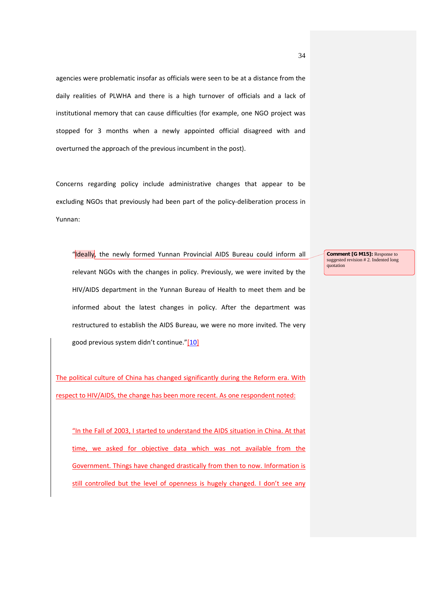agencies were problematic insofar as officials were seen to be at a distance from the daily realities of PLWHA and there is a high turnover of officials and a lack of institutional memory that can cause difficulties (for example, one NGO project was stopped for 3 months when a newly appointed official disagreed with and overturned the approach of the previous incumbent in the post).

Concerns regarding policy include administrative changes that appear to be excluding NGOs that previously had been part of the policy-deliberation process in Yunnan:

"Ideally, the newly formed Yunnan Provincial AIDS Bureau could inform all relevant NGOs with the changes in policy. Previously, we were invited by the HIV/AIDS department in the Yunnan Bureau of Health to meet them and be informed about the latest changes in policy. After the department was restructured to establish the AIDS Bureau, we were no more invited. The very good previous system didn't continue."[10]

The political culture of China has changed significantly during the Reform era. With respect to HIV/AIDS, the change has been more recent. As one respondent noted:

"In the Fall of 2003, I started to understand the AIDS situation in China. At that time, we asked for objective data which was not available from the Government. Things have changed drastically from then to now. Information is still controlled but the level of openness is hugely changed. I don't see any **Comment [G M15]:** Response to suggested revision # 2. Indented long quotation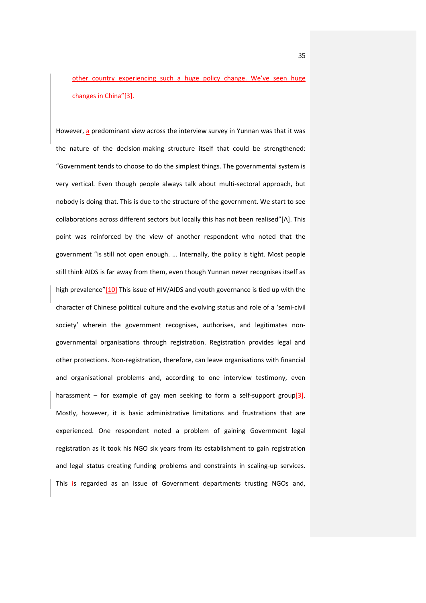other country experiencing such a huge policy change. We've seen huge changes in China"[3].

However, a predominant view across the interview survey in Yunnan was that it was the nature of the decision-making structure itself that could be strengthened: "Government tends to choose to do the simplest things. The governmental system is very vertical. Even though people always talk about multi-sectoral approach, but nobody is doing that. This is due to the structure of the government. We start to see collaborations across different sectors but locally this has not been realised"[A]. This point was reinforced by the view of another respondent who noted that the government "is still not open enough. … Internally, the policy is tight. Most people still think AIDS is far away from them, even though Yunnan never recognises itself as high prevalence"[10] This issue of HIV/AIDS and youth governance is tied up with the character of Chinese political culture and the evolving status and role of a 'semi-civil society' wherein the government recognises, authorises, and legitimates nongovernmental organisations through registration. Registration provides legal and other protections. Non-registration, therefore, can leave organisations with financial and organisational problems and, according to one interview testimony, even harassment – for example of gay men seeking to form a self-support group[3]. Mostly, however, it is basic administrative limitations and frustrations that are experienced. One respondent noted a problem of gaining Government legal registration as it took his NGO six years from its establishment to gain registration and legal status creating funding problems and constraints in scaling-up services. This is regarded as an issue of Government departments trusting NGOs and,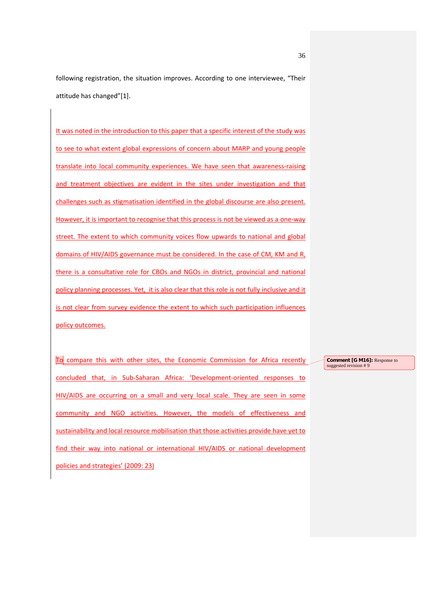following registration, the situation improves. According to one interviewee, "Their attitude has changed"[1].

It was noted in the introduction to this paper that a specific interest of the study was to see to what extent global expressions of concern about MARP and young people translate into local community experiences. We have seen that awareness-raising and treatment objectives are evident in the sites under investigation and that challenges such as stigmatisation identified in the global discourse are also present. However, it is important to recognise that this process is not be viewed as a one-way street. The extent to which community voices flow upwards to national and global domains of HIV/AIDS governance must be considered. In the case of CM, KM and R, there is a consultative role for CBOs and NGOs in district, provincial and national policy planning processes. Yet, it is also clear that this role is not fully inclusive and it is not clear from survey evidence the extent to which such participation influences policy outcomes.

To compare this with other sites, the Economic Commission for Africa recently concluded that, in Sub-Saharan Africa: 'Development-oriented responses to HIV/AIDS are occurring on a small and very local scale. They are seen in some community and NGO activities. However, the models of effectiveness and sustainability and local resource mobilisation that those activities provide have yet to find their way into national or international HIV/AIDS or national development policies and strategies' (2009: 23)

**Comment [G M16]:** Response to suggested revision # 9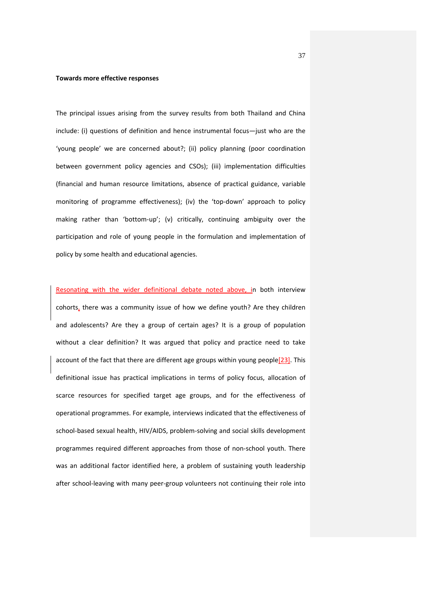#### **Towards more effective responses**

The principal issues arising from the survey results from both Thailand and China include: (i) questions of definition and hence instrumental focus—just who are the 'young people' we are concerned about?; (ii) policy planning (poor coordination between government policy agencies and CSOs); (iii) implementation difficulties (financial and human resource limitations, absence of practical guidance, variable monitoring of programme effectiveness); (iv) the 'top-down' approach to policy making rather than 'bottom-up'; (v) critically, continuing ambiguity over the participation and role of young people in the formulation and implementation of policy by some health and educational agencies.

Resonating with the wider definitional debate noted above, in both interview cohorts, there was a community issue of how we define youth? Are they children and adolescents? Are they a group of certain ages? It is a group of population without a clear definition? It was argued that policy and practice need to take account of the fact that there are different age groups within young people[23]. This definitional issue has practical implications in terms of policy focus, allocation of scarce resources for specified target age groups, and for the effectiveness of operational programmes. For example, interviews indicated that the effectiveness of school-based sexual health, HIV/AIDS, problem-solving and social skills development programmes required different approaches from those of non-school youth. There was an additional factor identified here, a problem of sustaining youth leadership after school-leaving with many peer-group volunteers not continuing their role into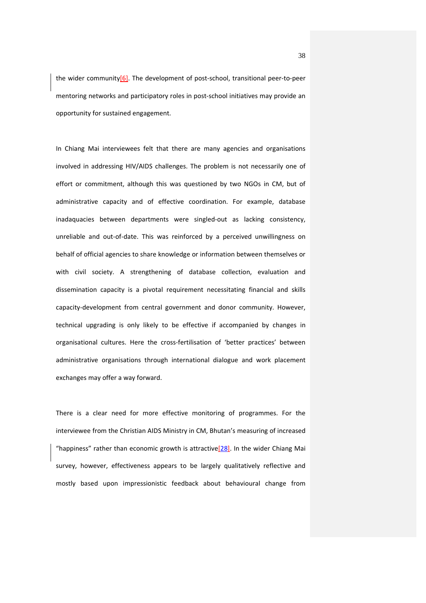the wider community $[6]$ . The development of post-school, transitional peer-to-peer mentoring networks and participatory roles in post-school initiatives may provide an opportunity for sustained engagement.

In Chiang Mai interviewees felt that there are many agencies and organisations involved in addressing HIV/AIDS challenges. The problem is not necessarily one of effort or commitment, although this was questioned by two NGOs in CM, but of administrative capacity and of effective coordination. For example, database inadaquacies between departments were singled-out as lacking consistency, unreliable and out-of-date. This was reinforced by a perceived unwillingness on behalf of official agencies to share knowledge or information between themselves or with civil society. A strengthening of database collection, evaluation and dissemination capacity is a pivotal requirement necessitating financial and skills capacity-development from central government and donor community. However, technical upgrading is only likely to be effective if accompanied by changes in organisational cultures. Here the cross-fertilisation of 'better practices' between administrative organisations through international dialogue and work placement exchanges may offer a way forward.

There is a clear need for more effective monitoring of programmes. For the interviewee from the Christian AIDS Ministry in CM, Bhutan's measuring of increased "happiness" rather than economic growth is attractive  $[28]$ . In the wider Chiang Mai survey, however, effectiveness appears to be largely qualitatively reflective and mostly based upon impressionistic feedback about behavioural change from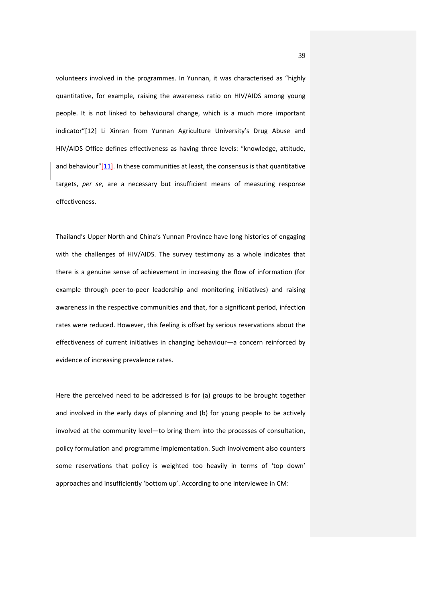volunteers involved in the programmes. In Yunnan, it was characterised as "highly quantitative, for example, raising the awareness ratio on HIV/AIDS among young people. It is not linked to behavioural change, which is a much more important indicator"[12] Li Xinran from Yunnan Agriculture University's Drug Abuse and HIV/AIDS Office defines effectiveness as having three levels: "knowledge, attitude, and behaviour"[11]. In these communities at least, the consensus is that quantitative targets, *per se*, are a necessary but insufficient means of measuring response effectiveness.

Thailand's Upper North and China's Yunnan Province have long histories of engaging with the challenges of HIV/AIDS. The survey testimony as a whole indicates that there is a genuine sense of achievement in increasing the flow of information (for example through peer-to-peer leadership and monitoring initiatives) and raising awareness in the respective communities and that, for a significant period, infection rates were reduced. However, this feeling is offset by serious reservations about the effectiveness of current initiatives in changing behaviour—a concern reinforced by evidence of increasing prevalence rates.

Here the perceived need to be addressed is for (a) groups to be brought together and involved in the early days of planning and (b) for young people to be actively involved at the community level—to bring them into the processes of consultation, policy formulation and programme implementation. Such involvement also counters some reservations that policy is weighted too heavily in terms of 'top down' approaches and insufficiently 'bottom up'. According to one interviewee in CM: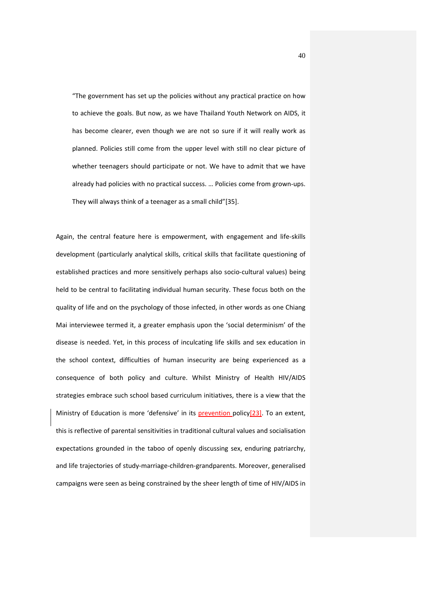"The government has set up the policies without any practical practice on how to achieve the goals. But now, as we have Thailand Youth Network on AIDS, it has become clearer, even though we are not so sure if it will really work as planned. Policies still come from the upper level with still no clear picture of whether teenagers should participate or not. We have to admit that we have already had policies with no practical success. … Policies come from grown-ups. They will always think of a teenager as a small child"[35].

Again, the central feature here is empowerment, with engagement and life-skills development (particularly analytical skills, critical skills that facilitate questioning of established practices and more sensitively perhaps also socio-cultural values) being held to be central to facilitating individual human security. These focus both on the quality of life and on the psychology of those infected, in other words as one Chiang Mai interviewee termed it, a greater emphasis upon the 'social determinism' of the disease is needed. Yet, in this process of inculcating life skills and sex education in the school context, difficulties of human insecurity are being experienced as a consequence of both policy and culture. Whilst Ministry of Health HIV/AIDS strategies embrace such school based curriculum initiatives, there is a view that the Ministry of Education is more 'defensive' in its **prevention** policy<sup>[23]</sup>. To an extent, this is reflective of parental sensitivities in traditional cultural values and socialisation expectations grounded in the taboo of openly discussing sex, enduring patriarchy, and life trajectories of study-marriage-children-grandparents. Moreover, generalised campaigns were seen as being constrained by the sheer length of time of HIV/AIDS in

40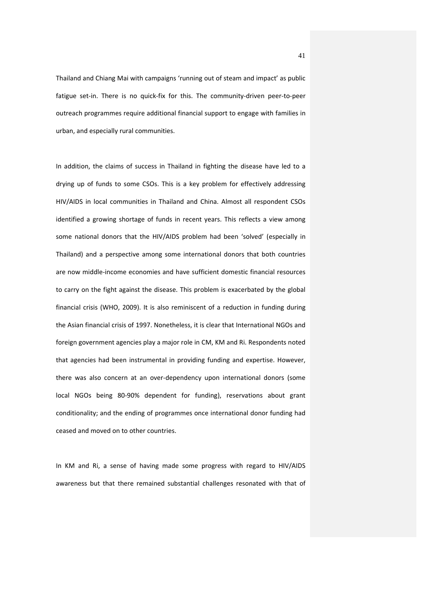Thailand and Chiang Mai with campaigns 'running out of steam and impact' as public fatigue set-in. There is no quick-fix for this. The community-driven peer-to-peer outreach programmes require additional financial support to engage with families in urban, and especially rural communities.

In addition, the claims of success in Thailand in fighting the disease have led to a drying up of funds to some CSOs. This is a key problem for effectively addressing HIV/AIDS in local communities in Thailand and China. Almost all respondent CSOs identified a growing shortage of funds in recent years. This reflects a view among some national donors that the HIV/AIDS problem had been 'solved' (especially in Thailand) and a perspective among some international donors that both countries are now middle-income economies and have sufficient domestic financial resources to carry on the fight against the disease. This problem is exacerbated by the global financial crisis (WHO, 2009). It is also reminiscent of a reduction in funding during the Asian financial crisis of 1997. Nonetheless, it is clear that International NGOs and foreign government agencies play a major role in CM, KM and Ri. Respondents noted that agencies had been instrumental in providing funding and expertise. However, there was also concern at an over-dependency upon international donors (some local NGOs being 80-90% dependent for funding), reservations about grant conditionality; and the ending of programmes once international donor funding had ceased and moved on to other countries.

In KM and Ri, a sense of having made some progress with regard to HIV/AIDS awareness but that there remained substantial challenges resonated with that of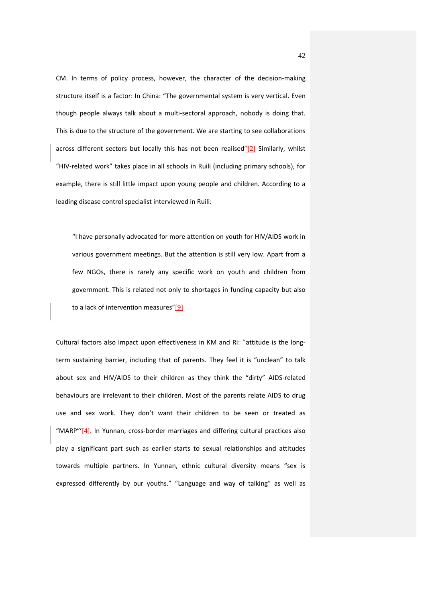CM. In terms of policy process, however, the character of the decision-making structure itself is a factor: In China: "The governmental system is very vertical. Even though people always talk about a multi-sectoral approach, nobody is doing that. This is due to the structure of the government. We are starting to see collaborations across different sectors but locally this has not been realised"[2] Similarly, whilst "HIV-related work" takes place in all schools in Ruili (including primary schools), for example, there is still little impact upon young people and children. According to a leading disease control specialist interviewed in Ruili:

"I have personally advocated for more attention on youth for HIV/AIDS work in various government meetings. But the attention is still very low. Apart from a few NGOs, there is rarely any specific work on youth and children from government. This is related not only to shortages in funding capacity but also to a lack of intervention measures"[9]

Cultural factors also impact upon effectiveness in KM and Ri: ''attitude is the longterm sustaining barrier, including that of parents. They feel it is "unclean" to talk about sex and HIV/AIDS to their children as they think the "dirty" AIDS-related behaviours are irrelevant to their children. Most of the parents relate AIDS to drug use and sex work. They don't want their children to be seen or treated as "MARP"'[4]. In Yunnan, cross-border marriages and differing cultural practices also play a significant part such as earlier starts to sexual relationships and attitudes towards multiple partners. In Yunnan, ethnic cultural diversity means "sex is expressed differently by our youths." "Language and way of talking" as well as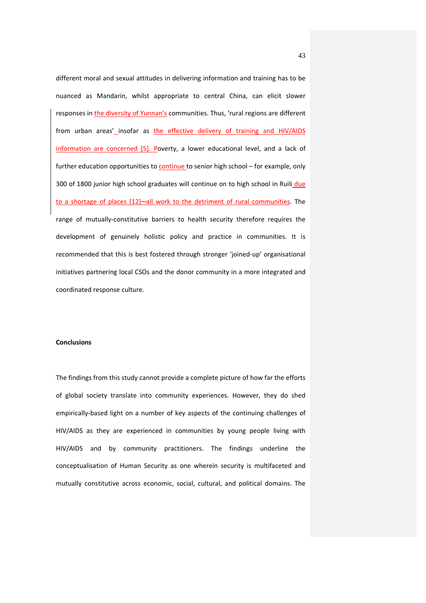different moral and sexual attitudes in delivering information and training has to be nuanced as Mandarin, whilst appropriate to central China, can elicit slower responses in the diversity of Yunnan's communities. Thus, 'rural regions are different from urban areas' insofar as the effective delivery of training and HIV/AIDS information are concerned [5]. Poverty, a lower educational level, and a lack of further education opportunities to continue to senior high school – for example, only 300 of 1800 junior high school graduates will continue on to high school in Ruili due to a shortage of places [12]—all work to the detriment of rural communities. The range of mutually-constitutive barriers to health security therefore requires the development of genuinely holistic policy and practice in communities. It is recommended that this is best fostered through stronger 'joined-up' organisational initiatives partnering local CSOs and the donor community in a more integrated and coordinated response culture.

#### **Conclusions**

The findings from this study cannot provide a complete picture of how far the efforts of global society translate into community experiences. However, they do shed empirically-based light on a number of key aspects of the continuing challenges of HIV/AIDS as they are experienced in communities by young people living with HIV/AIDS and by community practitioners. The findings underline the conceptualisation of Human Security as one wherein security is multifaceted and mutually constitutive across economic, social, cultural, and political domains. The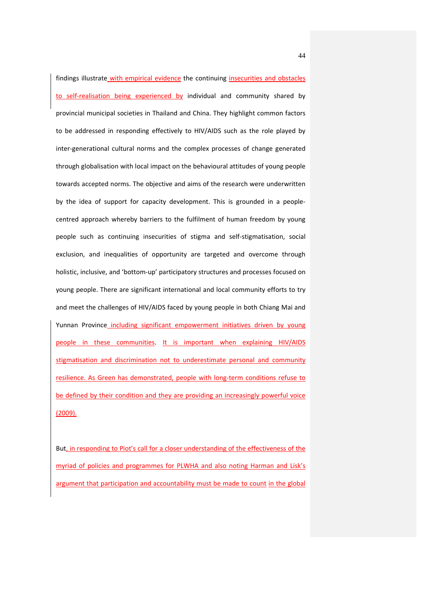findings illustrate with empirical evidence the continuing insecurities and obstacles to self-realisation being experienced by individual and community shared by provincial municipal societies in Thailand and China. They highlight common factors to be addressed in responding effectively to HIV/AIDS such as the role played by inter-generational cultural norms and the complex processes of change generated through globalisation with local impact on the behavioural attitudes of young people towards accepted norms. The objective and aims of the research were underwritten by the idea of support for capacity development. This is grounded in a peoplecentred approach whereby barriers to the fulfilment of human freedom by young people such as continuing insecurities of stigma and self-stigmatisation, social exclusion, and inequalities of opportunity are targeted and overcome through holistic, inclusive, and 'bottom-up' participatory structures and processes focused on young people. There are significant international and local community efforts to try and meet the challenges of HIV/AIDS faced by young people in both Chiang Mai and Yunnan Province including significant empowerment initiatives driven by young people in these communities. It is important when explaining HIV/AIDS stigmatisation and discrimination not to underestimate personal and community resilience. As Green has demonstrated, people with long-term conditions refuse to be defined by their condition and they are providing an increasingly powerful voice (2009).

But, in responding to Piot's call for a closer understanding of the effectiveness of the myriad of policies and programmes for PLWHA and also noting Harman and Lisk's argument that participation and accountability must be made to count in the global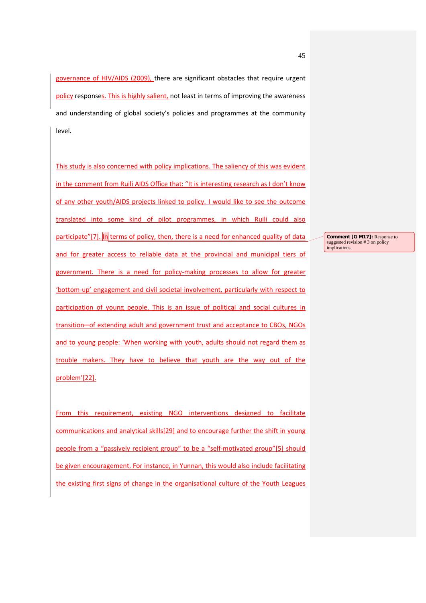governance of HIV/AIDS (2009), there are significant obstacles that require urgent policy responses. This is highly salient, not least in terms of improving the awareness and understanding of global society's policies and programmes at the community level.

This study is also concerned with policy implications. The saliency of this was evident in the comment from Ruili AIDS Office that: "It is interesting research as I don't know of any other youth/AIDS projects linked to policy. I would like to see the outcome translated into some kind of pilot programmes, in which Ruili could also participate"[7]. In terms of policy, then, there is a need for enhanced quality of data and for greater access to reliable data at the provincial and municipal tiers of government. There is a need for policy-making processes to allow for greater 'bottom-up' engagement and civil societal involvement, particularly with respect to participation of young people. This is an issue of political and social cultures in transition-of extending adult and government trust and acceptance to CBOs, NGOs and to young people: 'When working with youth, adults should not regard them as trouble makers. They have to believe that youth are the way out of the problem'[22].

From this requirement, existing NGO interventions designed to facilitate communications and analytical skills[29] and to encourage further the shift in young people from a "passively recipient group" to be a "self-motivated group"[5] should be given encouragement. For instance, in Yunnan, this would also include facilitating the existing first signs of change in the organisational culture of the Youth Leagues

**Comment [G M17]:** Response to suggested revision # 3 on policy implications.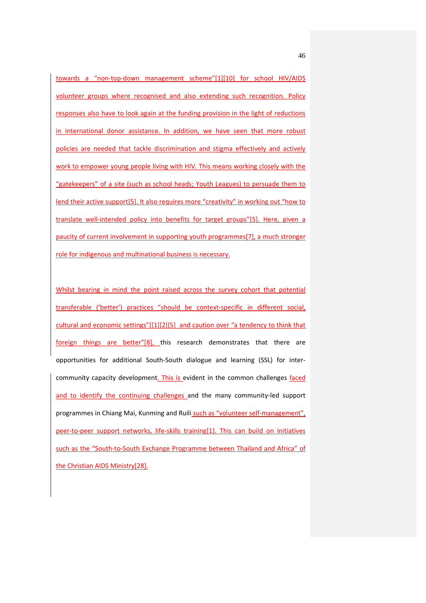towards a "non-top-down management scheme"[1][10] for school HIV/AIDS volunteer groups where recognised and also extending such recognition. Policy responses also have to look again at the funding provision in the light of reductions in international donor assistance. In addition, we have seen that more robust policies are needed that tackle discrimination and stigma effectively and actively work to empower young people living with HIV. This means working closely with the "gatekeepers" of a site (such as school heads; Youth Leagues) to persuade them to lend their active support[5]. It also requires more "creativity" in working out "how to translate well-intended policy into benefits for target groups"[5]. Here, given a paucity of current involvement in supporting youth programmes[7], a much stronger role for indigenous and multinational business is necessary.

Whilst bearing in mind the point raised across the survey cohort that potential transferable ('better') practices "should be context-specific in different social, cultural and economic settings"[[1][2][5] and caution over "a tendency to think that foreign things are better"[8], this research demonstrates that there are opportunities for additional South-South dialogue and learning (SSL) for intercommunity capacity development. This is evident in the common challenges faced and to identify the continuing challenges and the many community-led support programmes in Chiang Mai, Kunming and Ruili such as "volunteer self-management", peer-to-peer support networks, life-skills training[1]. This can build on initiatives such as the "South-to-South Exchange Programme between Thailand and Africa" of the Christian AIDS Ministry[28].

46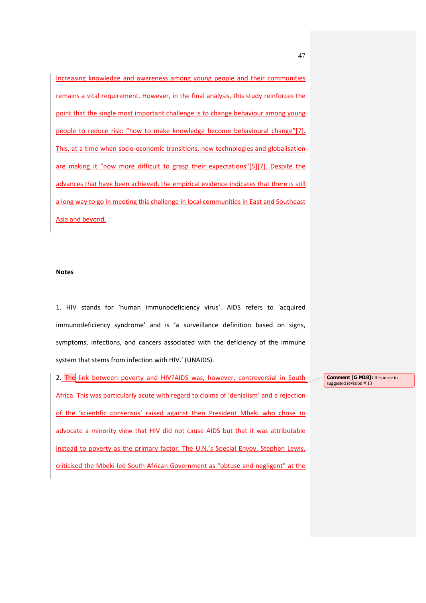Increasing knowledge and awareness among young people and their communities remains a vital requirement. However, in the final analysis, this study reinforces the point that the single most important challenge is to change behaviour among young people to reduce risk: "how to make knowledge become behavioural change"[7]. This, at a time when socio-economic transitions, new technologies and globalisation are making it "now more difficult to grasp their expectations"[5][7]. Despite the advances that have been achieved, the empirical evidence indicates that there is still a long way to go in meeting this challenge in local communities in East and Southeast Asia and beyond.

#### **Notes**

1. HIV stands for 'human immunodeficiency virus'. AIDS refers to 'acquired immunodeficiency syndrome' and is 'a surveillance definition based on signs, symptoms, infections, and cancers associated with the deficiency of the immune system that stems from infection with HIV.' (UNAIDS).

2. The link between poverty and HIV?AIDS was, however, controversial in South Africa. This was particularly acute with regard to claims of 'denialism' and a rejection of the 'scientific consensus' raised against then President Mbeki who chose to advocate a minority view that HIV did not cause AIDS but that it was attributable instead to poverty as the primary factor. The U.N.'s Special Envoy, Stephen Lewis, criticised the Mbeki-led South African Government as "obtuse and negligent" at the **Comment [G M18]:** Response to suggested revision #13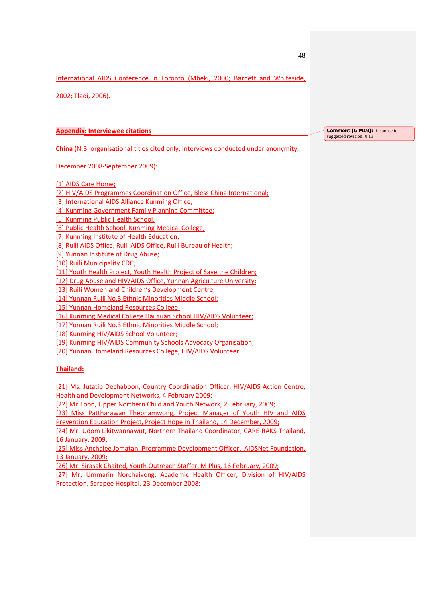International AIDS Conference in Toronto (Mbeki, 2000; Barnett and Whiteside,

2002; Tladi, 2006).

**Appendix: Interviewee citations**

**China** (N.B. organisational titles cited only; interviews conducted under anonymity,

December 2008-September 2009):

[1] AIDS Care Home;

[2] HIV/AIDS Programmes Coordination Office, Bless China International;

[3] International AIDS Alliance Kunming Office;

[4] Kunming Government Family Planning Committee;

[5] Kunming Public Health School,

[6] Public Health School, Kunming Medical College;

[7] Kunming Institute of Health Education;

[8] Ruili AIDS Office, Ruili AIDS Office, Ruili Bureau of Health;

[9] Yunnan Institute of Drug Abuse;

[10] Ruili Municipality CDC:

[11] Youth Health Project, Youth Health Project of Save the Children;

[12] Drug Abuse and HIV/AIDS Office, Yunnan Agriculture University;

[13] Ruili Women and Children's Development Centre;

[14] Yunnan Ruili No.3 Ethnic Minorities Middle School;

[15] Yunnan Homeland Resources College;

[16] Kunming Medical College Hai Yuan School HIV/AIDS Volunteer;

[17] Yunnan Ruili No.3 Ethnic Minorities Middle School;

[18] Kunming HIV/AIDS School Volunteer;

[19] Kunming HIV/AIDS Community Schools Advocacy Organisation;

[20] Yunnan Homeland Resources College, HIV/AIDS Volunteer.

## **Thailand:**

[21] Ms. Jutatip Dechaboon, Country Coordination Officer, HIV/AIDS Action Centre, Health and Development Networks, 4 February 2009;

[22] Mr.Toon, Upper Northern Child and Youth Network, 2 February, 2009;

[23] Miss Pattharawan Thepnamwong, Project Manager of Youth HIV and AIDS Prevention Education Project, Project Hope in Thailand, 14 December, 2009;

[24] Mr. Udom Likitwannawut, Northern Thailand Coordinator, CARE-RAKS Thailand, 16 January, 2009;

[25] Miss Anchalee Jomatan, Programme Development Officer, AIDSNet Foundation, 13 January, 2009;

[26] Mr. Sirasak Chaited, Youth Outreach Staffer, M Plus, 16 February, 2009;

[27] Mr. Ummarin Norchaivong, Academic Health Officer, Division of HIV/AIDS Protection, Sarapee Hospital, 23 December 2008;

**Comment [G M19]: Response to** suggested revision: #13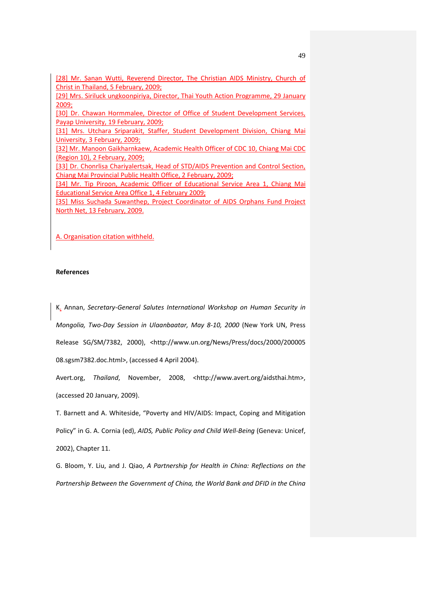[28] Mr. Sanan Wutti, Reverend Director, The Christian AIDS Ministry, Church of Christ in Thailand, 5 February, 2009;

[29] Mrs. Siriluck ungkoonpiriya, Director, Thai Youth Action Programme, 29 January 2009;

[30] Dr. Chawan Hormmalee, Director of Office of Student Development Services, Payap University, 19 February, 2009;

[31] Mrs. Utchara Sriparakit, Staffer, Student Development Division, Chiang Mai University, 3 February, 2009;

[32] Mr. Manoon Gaikharnkaew, Academic Health Officer of CDC 10, Chiang Mai CDC (Region 10), 2 February, 2009;

[33] Dr. Chonrlisa Chariyalertsak, Head of STD/AIDS Prevention and Control Section, Chiang Mai Provincial Public Health Office, 2 February, 2009;

[34] Mr. Tip Piroon, Academic Officer of Educational Service Area 1, Chiang Mai Educational Service Area Office 1, 4 February 2009;

[35] Miss Suchada Suwanthep, Project Coordinator of AIDS Orphans Fund Project North Net, 13 February, 2009.

A. Organisation citation withheld.

### **References**

K. Annan, *Secretary-General Salutes International Workshop on Human Security in Mongolia, Two-Day Session in Ulaanbaatar, May 8-10, 2000* (New York UN, Press Release SG/SM/7382, 2000), <http://www.un.org/News/Press/docs/2000/200005 08.sgsm7382.doc.html>, (accessed 4 April 2004).

Avert.org, *Thailand*, November, 2008, <http://www.avert.org/aidsthai.htm>, (accessed 20 January, 2009).

T. Barnett and A. Whiteside, "Poverty and HIV/AIDS: Impact, Coping and Mitigation Policy" in G. A. Cornia (ed), *AIDS, Public Policy and Child Well-Being* (Geneva: Unicef, 2002), Chapter 11.

G. Bloom, Y. Liu, and J. Qiao, *A Partnership for Health in China: Reflections on the Partnership Between the Government of China, the World Bank and DFID in the China*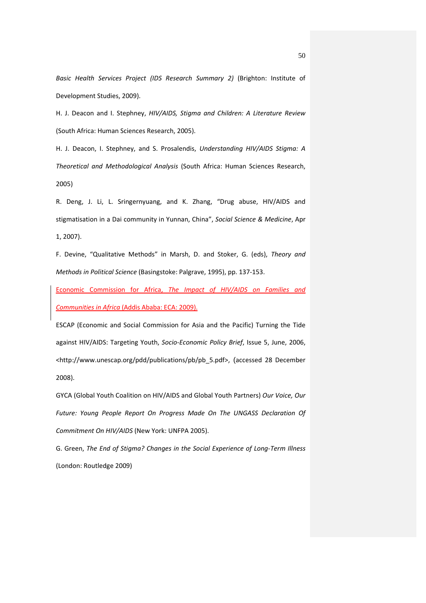*Basic Health Services Project (IDS Research Summary 2)* (Brighton: Institute of Development Studies, 2009).

H. J. Deacon and I. Stephney, *HIV/AIDS, Stigma and Children: A Literature Review* (South Africa: Human Sciences Research, 2005).

H. J. Deacon, I. Stephney, and S. Prosalendis, *Understanding HIV/AIDS Stigma: A Theoretical and Methodological Analysis* (South Africa: Human Sciences Research, 2005)

R. Deng, J. Li, L. Sringernyuang, and K. Zhang, "Drug abuse, HIV/AIDS and stigmatisation in a Dai community in Yunnan, China", *Social Science & Medicine*, Apr 1, 2007).

F. Devine, "Qualitative Methods" in Marsh, D. and Stoker, G. (eds), *Theory and Methods in Political Science* (Basingstoke: Palgrave, 1995), pp. 137-153.

Economic Commission for Africa, *The Impact of HIV/AIDS on Families and Communities in Africa* (Addis Ababa: ECA: 2009).

ESCAP (Economic and Social Commission for Asia and the Pacific) Turning the Tide against HIV/AIDS: Targeting Youth, *Socio-Economic Policy Brief*, Issue 5, June, 2006, <http://www.unescap.org/pdd/publications/pb/pb\_5.pdf>, (accessed 28 December 2008).

GYCA (Global Youth Coalition on HIV/AIDS and Global Youth Partners) *Our Voice, Our Future: Young People Report On Progress Made On The UNGASS Declaration Of Commitment On HIV/AIDS* (New York: UNFPA 2005).

G. Green, *The End of Stigma? Changes in the Social Experience of Long-Term Illness* (London: Routledge 2009)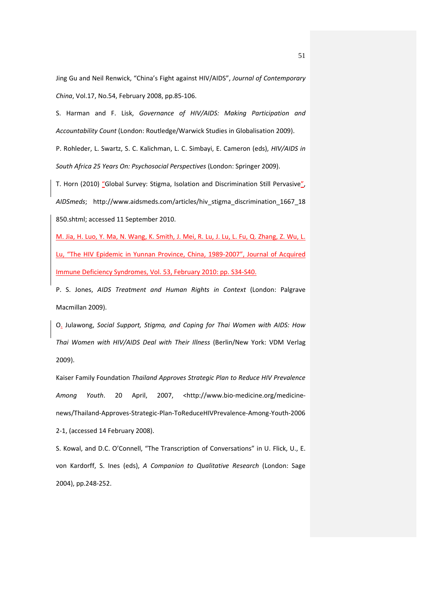Jing Gu and Neil Renwick, "China's Fight against HIV/AIDS", *Journal of Contemporary China*, Vol.17, No.54, February 2008, pp.85-106.

S. Harman and F. Lisk, *Governance of HIV/AIDS: Making Participation and Accountability Count* (London: Routledge/Warwick Studies in Globalisation 2009).

P. Rohleder, L. Swartz, S. C. Kalichman, L. C. Simbayi, E. Cameron (eds), *HIV/AIDS in South Africa 25 Years On: Psychosocial Perspectives* (London: Springer 2009).

T. Horn (2010) "Global Survey: Stigma, Isolation and Discrimination Still Pervasive" *AIDSmeds*; http://www.aidsmeds.com/articles/hiv\_stigma\_discrimination\_1667\_18 850.shtml; accessed 11 September 2010.

M. Jia, H. Luo, Y. Ma, N. Wang, K. Smith, J. Mei, R. Lu, J. Lu, L. Fu, Q. Zhang, Z. Wu, L. Lu, "The HIV Epidemic in Yunnan Province, China, 1989-2007", Journal of Acquired Immune Deficiency Syndromes, Vol. 53, February 2010: pp. S34-S40.

P. S. Jones, *AIDS Treatment and Human Rights in Context* (London: Palgrave Macmillan 2009).

O. Julawong, *Social Support, Stigma, and Coping for Thai Women with AIDS: How Thai Women with HIV/AIDS Deal with Their Illness* (Berlin/New York: VDM Verlag 2009).

Kaiser Family Foundation *Thailand Approves Strategic Plan to Reduce HIV Prevalence Among Youth*. 20 April, 2007, <http://www.bio-medicine.org/medicinenews/Thailand-Approves-Strategic-Plan-ToReduceHIVPrevalence-Among-Youth-2006 2-1, (accessed 14 February 2008).

S. Kowal, and D.C. O'Connell, "The Transcription of Conversations" in U. Flick, U., E. von Kardorff, S. Ines (eds), *A Companion to Qualitative Research* (London: Sage 2004), pp.248-252.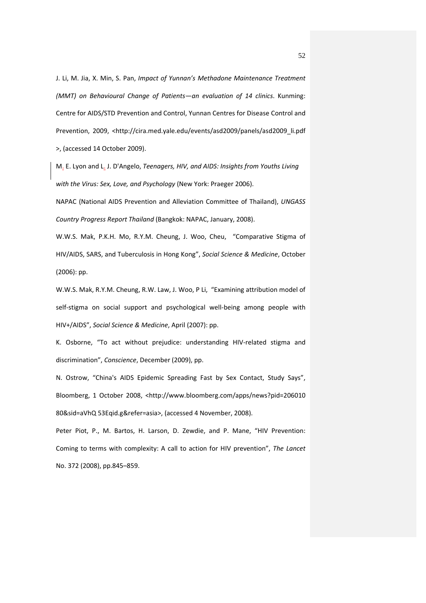J. Li, M. Jia, X. Min, S. Pan, *Impact of Yunnan's Methadone Maintenance Treatment (MMT) on Behavioural Change of Patients—an evaluation of 14 clinics*. Kunming: Centre for AIDS/STD Prevention and Control, Yunnan Centres for Disease Control and Prevention, 2009, <http://cira.med.yale.edu/events/asd2009/panels/asd2009\_li.pdf >, (accessed 14 October 2009).

M. E. Lyon and L. J. D'Angelo, *Teenagers, HIV, and AIDS: Insights from Youths Living with the Virus: Sex, Love, and Psychology* (New York: Praeger 2006).

NAPAC (National AIDS Prevention and Alleviation Committee of Thailand), *UNGASS Country Progress Report Thailand* (Bangkok: NAPAC, January, 2008).

W.W.S. Mak, P.K.H. Mo, R.Y.M. Cheung, J. Woo, Cheu, "Comparative Stigma of HIV/AIDS, SARS, and Tuberculosis in Hong Kong", *Social Science & Medicine*, October (2006): pp.

W.W.S. Mak, R.Y.M. Cheung, R.W. Law, J. Woo, P Li, "Examining attribution model of self-stigma on social support and psychological well-being among people with HIV+/AIDS", *Social Science & Medicine*, April (2007): pp.

K. Osborne, "To act without prejudice: understanding HIV-related stigma and discrimination", *Conscience*, December (2009), pp.

N. Ostrow, "China's AIDS Epidemic Spreading Fast by Sex Contact, Study Says", Bloomberg, 1 October 2008, <http://www.bloomberg.com/apps/news?pid=206010 80&sid=aVhQ 53Eqid.g&refer=asia>, (accessed 4 November, 2008).

Peter Piot, P., M. Bartos, H. Larson, D. Zewdie, and P. Mane, "HIV Prevention: Coming to terms with complexity: A call to action for HIV prevention", *The Lancet* No. 372 (2008), pp.845–859.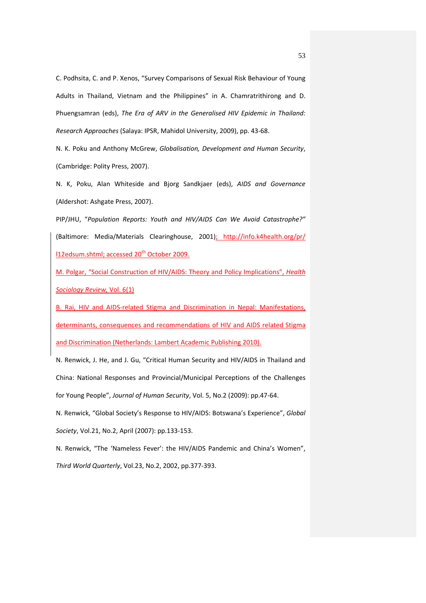C. Podhsita, C. and P. Xenos, "Survey Comparisons of Sexual Risk Behaviour of Young Adults in Thailand, Vietnam and the Philippines" in A. Chamratrithirong and D. Phuengsamran (eds), *The Era of ARV in the Generalised HIV Epidemic in Thailand: Research Approaches* (Salaya: IPSR, Mahidol University, 2009), pp. 43-68.

N. K. Poku and Anthony McGrew, *Globalisation, Development and Human Security*, (Cambridge: Polity Press, 2007).

N. K, Poku, Alan Whiteside and Bjorg Sandkjaer (eds), *AIDS and Governance* (Aldershot: Ashgate Press, 2007).

PIP/JHU, "*Population Reports: Youth and HIV/AIDS Can We Avoid Catastrophe?"* (Baltimore: Media/Materials Clearinghouse, 2001); [http://info.k4health.org/pr/](http://info.k4health.org/pr/%20l12edsum.shtml) [l12edsum.shtml;](http://info.k4health.org/pr/%20l12edsum.shtml) accessed 20<sup>th</sup> October 2009.

M. Polgar, "Social Construction of HIV/AIDS: Theory and Policy Implications", *Health Sociology Review,* Vol. 6(1)

B. Rai, HIV and AIDS-related Stigma and Discrimination in Nepal: Manifestations, determinants, consequences and recommendations of HIV and AIDS related Stigma and Discrimination (Netherlands: Lambert Academic Publishing 2010).

N. Renwick, J. He, and J. Gu, "Critical Human Security and HIV/AIDS in Thailand and China: National Responses and Provincial/Municipal Perceptions of the Challenges for Young People", *Journal of Human Security*, Vol. 5, No.2 (2009): pp.47-64.

N. Renwick, "Global Society's Response to HIV/AIDS: Botswana's Experience", *Global Society*, Vol.21, No.2, April (2007): pp.133-153.

N. Renwick, "The 'Nameless Fever': the HIV/AIDS Pandemic and China's Women", *Third World Quarterly*, Vol.23, No.2, 2002, pp.377-393.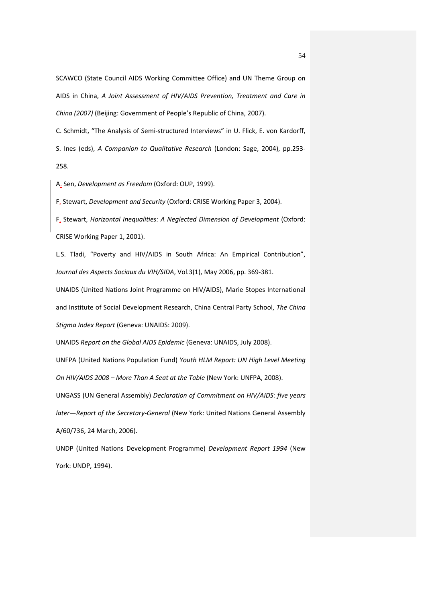SCAWCO (State Council AIDS Working Committee Office) and UN Theme Group on AIDS in China, *A Joint Assessment of HIV/AIDS Prevention, Treatment and Care in China (2007)* (Beijing: Government of People's Republic of China, 2007).

C. Schmidt, "The Analysis of Semi-structured Interviews" in U. Flick, E. von Kardorff, S. Ines (eds), *A Companion to Qualitative Research* (London: Sage, 2004), pp.253- 258.

A. Sen, *Development as Freedom* (Oxford: OUP, 1999).

F. Stewart, *Development and Security* (Oxford: CRISE Working Paper 3, 2004).

F. Stewart, *Horizontal Inequalities: A Neglected Dimension of Development* (Oxford: CRISE Working Paper 1, 2001).

L.S. Tladi, "Poverty and HIV/AIDS in South Africa: An Empirical Contribution", *Journal des Aspects Sociaux du VIH/SIDA*, Vol.3(1), May 2006, pp. 369-381.

UNAIDS (United Nations Joint Programme on HIV/AIDS), Marie Stopes International and Institute of Social Development Research, China Central Party School, *The China Stigma Index Report* (Geneva: UNAIDS: 2009).

UNAIDS *Report on the Global AIDS Epidemic* (Geneva: UNAIDS, July 2008).

UNFPA (United Nations Population Fund) *Youth HLM Report: UN High Level Meeting On HIV/AIDS 2008 – More Than A Seat at the Table* (New York: UNFPA, 2008).

UNGASS (UN General Assembly) *Declaration of Commitment on HIV/AIDS: five years later—Report of the Secretary-General* (New York: United Nations General Assembly A/60/736, 24 March, 2006).

UNDP (United Nations Development Programme) *Development Report 1994* (New York: UNDP, 1994).